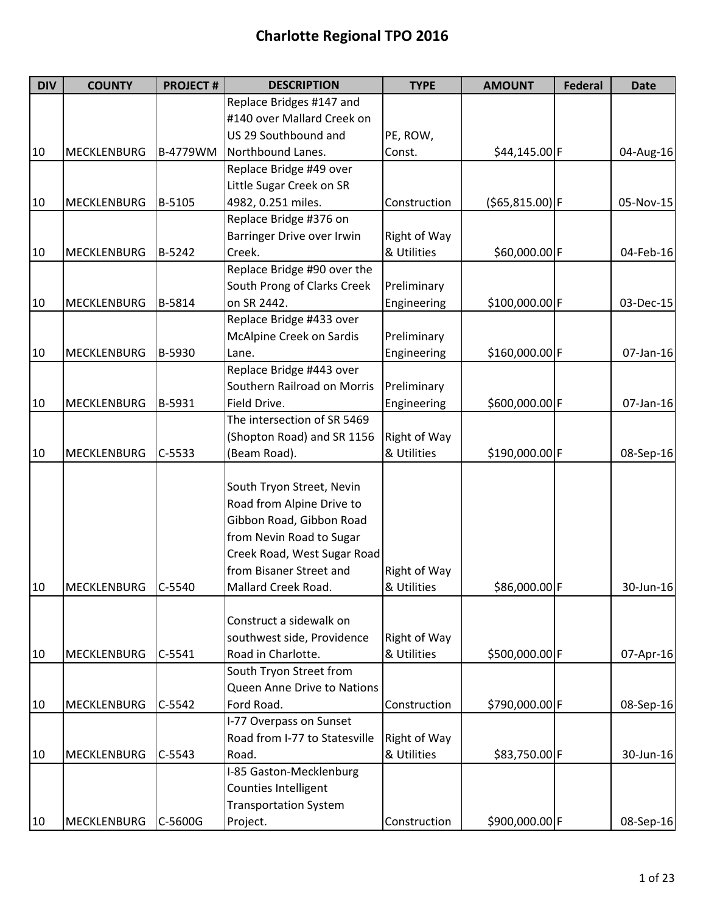| <b>DIV</b> | <b>COUNTY</b>      | <b>PROJECT#</b> | <b>DESCRIPTION</b>            | <b>TYPE</b>  | <b>AMOUNT</b>      | <b>Federal</b> | <b>Date</b> |
|------------|--------------------|-----------------|-------------------------------|--------------|--------------------|----------------|-------------|
|            |                    |                 | Replace Bridges #147 and      |              |                    |                |             |
|            |                    |                 | #140 over Mallard Creek on    |              |                    |                |             |
|            |                    |                 | US 29 Southbound and          | PE, ROW,     |                    |                |             |
| 10         | MECKLENBURG        | B-4779WM        | Northbound Lanes.             | Const.       | \$44,145.00 F      |                | 04-Aug-16   |
|            |                    |                 | Replace Bridge #49 over       |              |                    |                |             |
|            |                    |                 | Little Sugar Creek on SR      |              |                    |                |             |
| 10         | <b>MECKLENBURG</b> | B-5105          | 4982, 0.251 miles.            | Construction | $( $65, 815.00)$ F |                | 05-Nov-15   |
|            |                    |                 | Replace Bridge #376 on        |              |                    |                |             |
|            |                    |                 | Barringer Drive over Irwin    | Right of Way |                    |                |             |
| 10         | <b>MECKLENBURG</b> | B-5242          | Creek.                        | & Utilities  | \$60,000.00 F      |                | 04-Feb-16   |
|            |                    |                 | Replace Bridge #90 over the   |              |                    |                |             |
|            |                    |                 | South Prong of Clarks Creek   | Preliminary  |                    |                |             |
| 10         | <b>MECKLENBURG</b> | B-5814          | on SR 2442.                   | Engineering  | \$100,000.00 F     |                | 03-Dec-15   |
|            |                    |                 | Replace Bridge #433 over      |              |                    |                |             |
|            |                    |                 | McAlpine Creek on Sardis      | Preliminary  |                    |                |             |
| 10         | MECKLENBURG        | B-5930          | Lane.                         | Engineering  | \$160,000.00 F     |                | 07-Jan-16   |
|            |                    |                 | Replace Bridge #443 over      |              |                    |                |             |
|            |                    |                 | Southern Railroad on Morris   | Preliminary  |                    |                |             |
| 10         | MECKLENBURG        | B-5931          | Field Drive.                  | Engineering  | \$600,000.00 F     |                | 07-Jan-16   |
|            |                    |                 | The intersection of SR 5469   |              |                    |                |             |
|            |                    |                 | (Shopton Road) and SR 1156    | Right of Way |                    |                |             |
| 10         | MECKLENBURG        | $C-5533$        | (Beam Road).                  | & Utilities  | \$190,000.00 F     |                | 08-Sep-16   |
|            |                    |                 |                               |              |                    |                |             |
|            |                    |                 | South Tryon Street, Nevin     |              |                    |                |             |
|            |                    |                 | Road from Alpine Drive to     |              |                    |                |             |
|            |                    |                 | Gibbon Road, Gibbon Road      |              |                    |                |             |
|            |                    |                 | from Nevin Road to Sugar      |              |                    |                |             |
|            |                    |                 | Creek Road, West Sugar Road   |              |                    |                |             |
|            |                    |                 | from Bisaner Street and       | Right of Way |                    |                |             |
| 10         | <b>MECKLENBURG</b> | C-5540          | Mallard Creek Road.           | & Utilities  | \$86,000.00 F      |                | 30-Jun-16   |
|            |                    |                 |                               |              |                    |                |             |
|            |                    |                 | Construct a sidewalk on       |              |                    |                |             |
|            |                    |                 | southwest side, Providence    | Right of Way |                    |                |             |
| 10         | <b>MECKLENBURG</b> | $C-5541$        | Road in Charlotte.            | & Utilities  | \$500,000.00 F     |                | 07-Apr-16   |
|            |                    |                 | South Tryon Street from       |              |                    |                |             |
|            |                    |                 | Queen Anne Drive to Nations   |              |                    |                |             |
| 10         | <b>MECKLENBURG</b> | $C-5542$        | Ford Road.                    | Construction | \$790,000.00 F     |                | 08-Sep-16   |
|            |                    |                 | I-77 Overpass on Sunset       |              |                    |                |             |
|            |                    |                 | Road from I-77 to Statesville | Right of Way |                    |                |             |
| 10         | <b>MECKLENBURG</b> | $C-5543$        | Road.                         | & Utilities  | \$83,750.00 F      |                | 30-Jun-16   |
|            |                    |                 | I-85 Gaston-Mecklenburg       |              |                    |                |             |
|            |                    |                 | Counties Intelligent          |              |                    |                |             |
|            |                    |                 | <b>Transportation System</b>  |              |                    |                |             |
| 10         | MECKLENBURG        | C-5600G         | Project.                      | Construction | \$900,000.00 F     |                | 08-Sep-16   |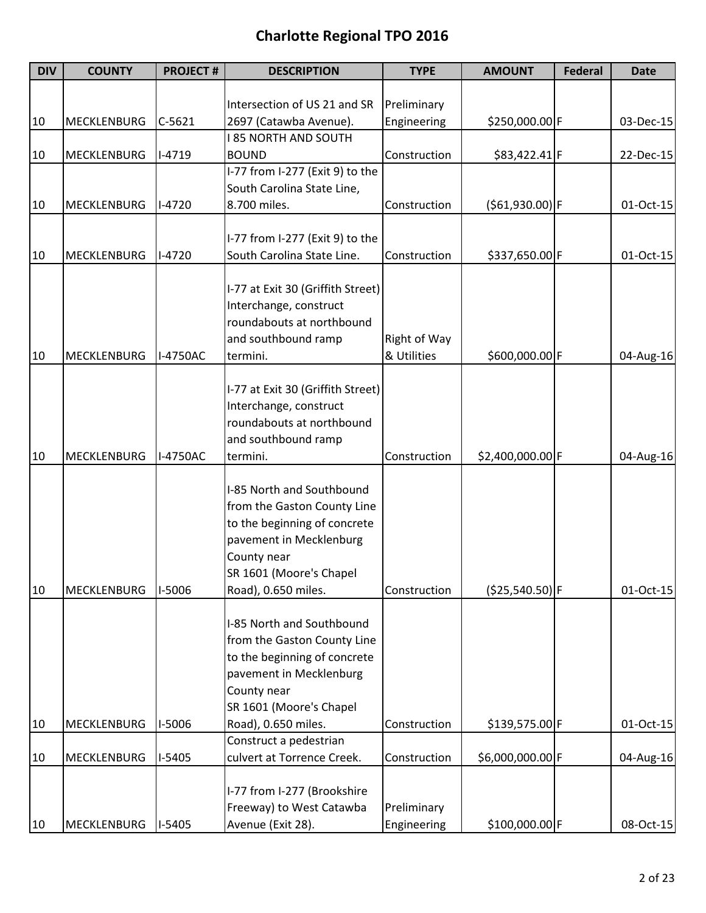| <b>DIV</b> | <b>COUNTY</b>      | <b>PROJECT#</b> | <b>DESCRIPTION</b>                | <b>TYPE</b>  | <b>AMOUNT</b>     | <b>Federal</b> | <b>Date</b> |
|------------|--------------------|-----------------|-----------------------------------|--------------|-------------------|----------------|-------------|
|            |                    |                 |                                   |              |                   |                |             |
|            |                    |                 | Intersection of US 21 and SR      | Preliminary  |                   |                |             |
| 10         | <b>MECKLENBURG</b> | $C-5621$        | 2697 (Catawba Avenue).            | Engineering  | \$250,000.00 F    |                | 03-Dec-15   |
|            |                    |                 | <b>185 NORTH AND SOUTH</b>        |              |                   |                |             |
| 10         | <b>MECKLENBURG</b> | $I-4719$        | <b>BOUND</b>                      | Construction | \$83,422.41 F     |                | 22-Dec-15   |
|            |                    |                 | I-77 from I-277 (Exit 9) to the   |              |                   |                |             |
|            |                    |                 | South Carolina State Line,        |              |                   |                |             |
| 10         | <b>MECKLENBURG</b> | $I-4720$        | 8.700 miles.                      | Construction | $( $61,930.00)$ F |                | 01-Oct-15   |
|            |                    |                 |                                   |              |                   |                |             |
|            |                    |                 | I-77 from I-277 (Exit 9) to the   |              |                   |                |             |
| 10         | <b>MECKLENBURG</b> | $I-4720$        | South Carolina State Line.        | Construction | \$337,650.00 F    |                | 01-Oct-15   |
|            |                    |                 |                                   |              |                   |                |             |
|            |                    |                 | I-77 at Exit 30 (Griffith Street) |              |                   |                |             |
|            |                    |                 | Interchange, construct            |              |                   |                |             |
|            |                    |                 | roundabouts at northbound         |              |                   |                |             |
|            |                    |                 | and southbound ramp               | Right of Way |                   |                |             |
| 10         | <b>MECKLENBURG</b> | I-4750AC        | termini.                          | & Utilities  | \$600,000.00 F    |                | 04-Aug-16   |
|            |                    |                 |                                   |              |                   |                |             |
|            |                    |                 | I-77 at Exit 30 (Griffith Street) |              |                   |                |             |
|            |                    |                 | Interchange, construct            |              |                   |                |             |
|            |                    |                 | roundabouts at northbound         |              |                   |                |             |
|            |                    |                 | and southbound ramp               |              |                   |                |             |
| 10         | <b>MECKLENBURG</b> | I-4750AC        | termini.                          | Construction | \$2,400,000.00 F  |                | 04-Aug-16   |
|            |                    |                 | I-85 North and Southbound         |              |                   |                |             |
|            |                    |                 | from the Gaston County Line       |              |                   |                |             |
|            |                    |                 | to the beginning of concrete      |              |                   |                |             |
|            |                    |                 | pavement in Mecklenburg           |              |                   |                |             |
|            |                    |                 | County near                       |              |                   |                |             |
|            |                    |                 | SR 1601 (Moore's Chapel           |              |                   |                |             |
| 10         | <b>MECKLENBURG</b> | I-5006          | Road), 0.650 miles.               | Construction | $($25,540.50)$ F  |                | 01-Oct-15   |
|            |                    |                 |                                   |              |                   |                |             |
|            |                    |                 | I-85 North and Southbound         |              |                   |                |             |
|            |                    |                 | from the Gaston County Line       |              |                   |                |             |
|            |                    |                 | to the beginning of concrete      |              |                   |                |             |
|            |                    |                 | pavement in Mecklenburg           |              |                   |                |             |
|            |                    |                 | County near                       |              |                   |                |             |
|            |                    |                 | SR 1601 (Moore's Chapel           |              |                   |                |             |
| 10         | <b>MECKLENBURG</b> | I-5006          | Road), 0.650 miles.               | Construction | \$139,575.00 F    |                | 01-Oct-15   |
|            |                    |                 | Construct a pedestrian            |              |                   |                |             |
| 10         | MECKLENBURG        | $I-5405$        | culvert at Torrence Creek.        | Construction | \$6,000,000.00 F  |                | 04-Aug-16   |
|            |                    |                 |                                   |              |                   |                |             |
|            |                    |                 | I-77 from I-277 (Brookshire       |              |                   |                |             |
|            |                    |                 | Freeway) to West Catawba          | Preliminary  |                   |                |             |
| 10         | MECKLENBURG        | $I-5405$        | Avenue (Exit 28).                 | Engineering  | \$100,000.00 F    |                | 08-Oct-15   |
|            |                    |                 |                                   |              |                   |                |             |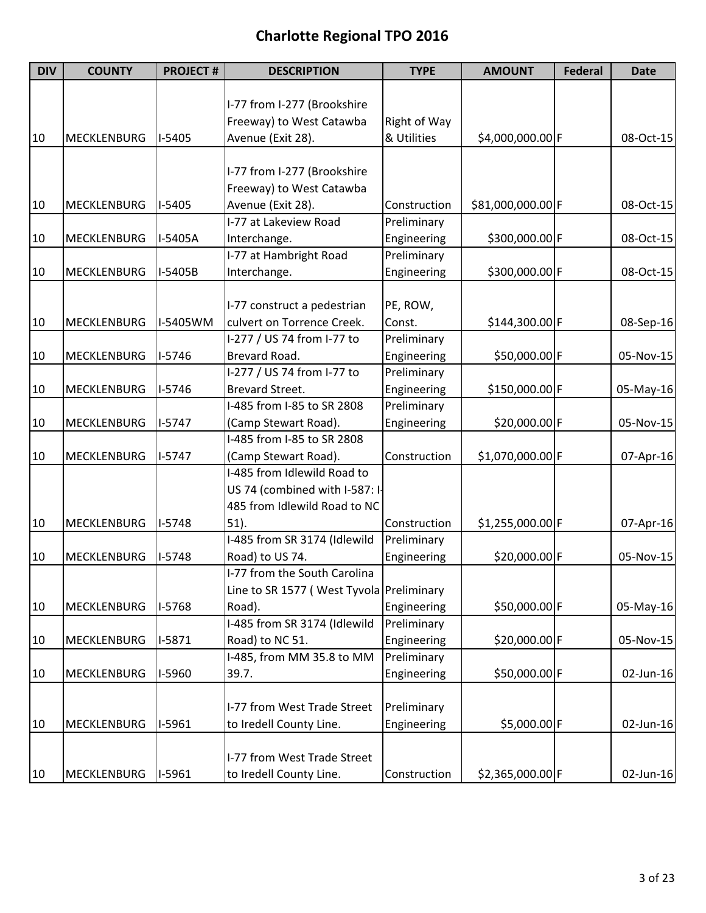| <b>DIV</b> | <b>COUNTY</b>      | <b>PROJECT#</b> | <b>DESCRIPTION</b>                       | <b>TYPE</b>  | <b>AMOUNT</b>     | <b>Federal</b> | <b>Date</b> |
|------------|--------------------|-----------------|------------------------------------------|--------------|-------------------|----------------|-------------|
|            |                    |                 |                                          |              |                   |                |             |
|            |                    |                 | I-77 from I-277 (Brookshire              |              |                   |                |             |
|            |                    |                 | Freeway) to West Catawba                 | Right of Way |                   |                |             |
| 10         | <b>MECKLENBURG</b> | $I-5405$        | Avenue (Exit 28).                        | & Utilities  | \$4,000,000.00 F  |                | 08-Oct-15   |
|            |                    |                 |                                          |              |                   |                |             |
|            |                    |                 | I-77 from I-277 (Brookshire              |              |                   |                |             |
|            |                    |                 | Freeway) to West Catawba                 |              |                   |                |             |
| 10         | MECKLENBURG        | $I-5405$        | Avenue (Exit 28).                        | Construction | \$81,000,000.00 F |                | 08-Oct-15   |
|            |                    |                 | I-77 at Lakeview Road                    | Preliminary  |                   |                |             |
| 10         | MECKLENBURG        | I-5405A         | Interchange.                             | Engineering  | \$300,000.00 F    |                | 08-Oct-15   |
|            |                    |                 | I-77 at Hambright Road                   | Preliminary  |                   |                |             |
| 10         | <b>MECKLENBURG</b> | I-5405B         | Interchange.                             | Engineering  | \$300,000.00 F    |                | 08-Oct-15   |
|            |                    |                 |                                          |              |                   |                |             |
|            |                    |                 | I-77 construct a pedestrian              | PE, ROW,     |                   |                |             |
| 10         | <b>MECKLENBURG</b> | I-5405WM        | culvert on Torrence Creek.               | Const.       | \$144,300.00 F    |                | 08-Sep-16   |
|            |                    |                 | I-277 / US 74 from I-77 to               | Preliminary  |                   |                |             |
| 10         | MECKLENBURG        | $I-5746$        | Brevard Road.                            | Engineering  | \$50,000.00 F     |                | 05-Nov-15   |
|            |                    |                 | I-277 / US 74 from I-77 to               | Preliminary  |                   |                |             |
| 10         | <b>MECKLENBURG</b> | $I-5746$        | <b>Brevard Street.</b>                   | Engineering  | \$150,000.00 F    |                | 05-May-16   |
|            |                    |                 | I-485 from I-85 to SR 2808               | Preliminary  |                   |                |             |
| 10         | MECKLENBURG        | $1-5747$        | (Camp Stewart Road).                     | Engineering  | \$20,000.00 F     |                | 05-Nov-15   |
|            |                    |                 | I-485 from I-85 to SR 2808               |              |                   |                |             |
| 10         | <b>MECKLENBURG</b> | $1-5747$        | (Camp Stewart Road).                     | Construction | \$1,070,000.00 F  |                | 07-Apr-16   |
|            |                    |                 | I-485 from Idlewild Road to              |              |                   |                |             |
|            |                    |                 | US 74 (combined with I-587: I-           |              |                   |                |             |
|            |                    |                 | 485 from Idlewild Road to NC             |              |                   |                |             |
| 10         | MECKLENBURG        | $I-5748$        | 51).                                     | Construction | \$1,255,000.00 F  |                | 07-Apr-16   |
|            |                    |                 | I-485 from SR 3174 (Idlewild             | Preliminary  |                   |                |             |
| 10         | <b>MECKLENBURG</b> | $I-5748$        | Road) to US 74.                          | Engineering  | \$20,000.00 F     |                | 05-Nov-15   |
|            |                    |                 | I-77 from the South Carolina             |              |                   |                |             |
|            |                    |                 | Line to SR 1577 (West Tyvola Preliminary |              |                   |                |             |
| 10         | <b>MECKLENBURG</b> | I-5768          | Road).                                   | Engineering  | \$50,000.00 F     |                | 05-May-16   |
|            |                    |                 | I-485 from SR 3174 (Idlewild             | Preliminary  |                   |                |             |
| 10         | MECKLENBURG        | $I-5871$        | Road) to NC 51.                          | Engineering  | \$20,000.00 F     |                | 05-Nov-15   |
|            |                    |                 | I-485, from MM 35.8 to MM                | Preliminary  |                   |                |             |
| 10         | MECKLENBURG        | I-5960          | 39.7.                                    | Engineering  | \$50,000.00 F     |                | 02-Jun-16   |
|            |                    |                 |                                          |              |                   |                |             |
|            |                    |                 | I-77 from West Trade Street              | Preliminary  |                   |                |             |
| 10         | MECKLENBURG        | $I-5961$        | to Iredell County Line.                  | Engineering  | \$5,000.00 F      |                | 02-Jun-16   |
|            |                    |                 |                                          |              |                   |                |             |
|            |                    |                 | I-77 from West Trade Street              |              |                   |                |             |
| 10         | MECKLENBURG        | $I-5961$        | to Iredell County Line.                  | Construction | \$2,365,000.00 F  |                | 02-Jun-16   |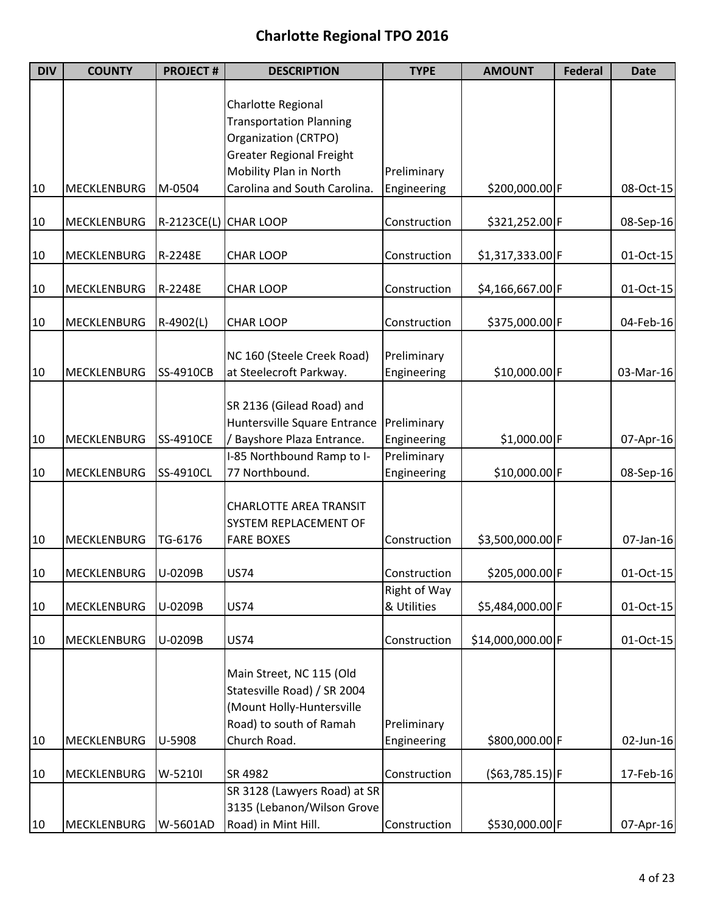| <b>DIV</b> | <b>COUNTY</b>      | <b>PROJECT#</b> | <b>DESCRIPTION</b>              | <b>TYPE</b>                  | <b>AMOUNT</b>     | <b>Federal</b> | <b>Date</b> |
|------------|--------------------|-----------------|---------------------------------|------------------------------|-------------------|----------------|-------------|
|            |                    |                 |                                 |                              |                   |                |             |
|            |                    |                 | Charlotte Regional              |                              |                   |                |             |
|            |                    |                 | <b>Transportation Planning</b>  |                              |                   |                |             |
|            |                    |                 | Organization (CRTPO)            |                              |                   |                |             |
|            |                    |                 | <b>Greater Regional Freight</b> |                              |                   |                |             |
|            |                    |                 | Mobility Plan in North          | Preliminary                  |                   |                |             |
| 10         | <b>MECKLENBURG</b> | M-0504          | Carolina and South Carolina.    | Engineering                  | \$200,000.00 F    |                | 08-Oct-15   |
|            |                    |                 |                                 | Construction                 | \$321,252.00 F    |                |             |
| 10         | MECKLENBURG        |                 | R-2123CE(L) CHAR LOOP           |                              |                   |                | 08-Sep-16   |
| 10         | <b>MECKLENBURG</b> | R-2248E         | <b>CHAR LOOP</b>                | Construction                 | $$1,317,333.00$ F |                | 01-Oct-15   |
|            |                    |                 |                                 |                              |                   |                |             |
| 10         | MECKLENBURG        | R-2248E         | <b>CHAR LOOP</b>                | Construction                 | $$4,166,667.00$ F |                | 01-Oct-15   |
|            |                    |                 |                                 |                              |                   |                |             |
| 10         | MECKLENBURG        | R-4902(L)       | <b>CHAR LOOP</b>                | Construction                 | \$375,000.00 F    |                | 04-Feb-16   |
|            |                    |                 |                                 |                              |                   |                |             |
|            |                    |                 | NC 160 (Steele Creek Road)      | Preliminary                  |                   |                |             |
| 10         | MECKLENBURG        | SS-4910CB       | at Steelecroft Parkway.         | Engineering                  | \$10,000.00 F     |                | 03-Mar-16   |
|            |                    |                 |                                 |                              |                   |                |             |
|            |                    |                 | SR 2136 (Gilead Road) and       |                              |                   |                |             |
|            |                    |                 | Huntersville Square Entrance    | Preliminary                  |                   |                |             |
| 10         | <b>MECKLENBURG</b> | SS-4910CE       | / Bayshore Plaza Entrance.      | Engineering                  | \$1,000.00 F      |                | 07-Apr-16   |
|            |                    |                 | I-85 Northbound Ramp to I-      | Preliminary                  |                   |                |             |
| 10         | MECKLENBURG        | SS-4910CL       | 77 Northbound.                  | Engineering                  | \$10,000.00 F     |                | 08-Sep-16   |
|            |                    |                 |                                 |                              |                   |                |             |
|            |                    |                 | <b>CHARLOTTE AREA TRANSIT</b>   |                              |                   |                |             |
|            |                    |                 | SYSTEM REPLACEMENT OF           |                              |                   |                |             |
| 10         | <b>MECKLENBURG</b> | TG-6176         | <b>FARE BOXES</b>               | Construction                 | \$3,500,000.00 F  |                | 07-Jan-16   |
|            |                    |                 |                                 |                              |                   |                |             |
| 10         | <b>MECKLENBURG</b> | U-0209B         | <b>US74</b>                     | Construction<br>Right of Way | \$205,000.00 F    |                | 01-Oct-15   |
|            | <b>MECKLENBURG</b> | U-0209B         | <b>US74</b>                     | & Utilities                  | \$5,484,000.00 F  |                | 01-Oct-15   |
| 10         |                    |                 |                                 |                              |                   |                |             |
| 10         | <b>MECKLENBURG</b> | U-0209B         | <b>US74</b>                     | Construction                 | \$14,000,000.00 F |                | 01-Oct-15   |
|            |                    |                 |                                 |                              |                   |                |             |
|            |                    |                 | Main Street, NC 115 (Old        |                              |                   |                |             |
|            |                    |                 | Statesville Road) / SR 2004     |                              |                   |                |             |
|            |                    |                 | (Mount Holly-Huntersville       |                              |                   |                |             |
|            |                    |                 | Road) to south of Ramah         | Preliminary                  |                   |                |             |
| 10         | MECKLENBURG        | U-5908          | Church Road.                    | Engineering                  | \$800,000.00 F    |                | 02-Jun-16   |
|            |                    |                 |                                 |                              |                   |                |             |
| 10         | <b>MECKLENBURG</b> | W-5210I         | SR 4982                         | Construction                 | $( $63,785.15)$ F |                | 17-Feb-16   |
|            |                    |                 | SR 3128 (Lawyers Road) at SR    |                              |                   |                |             |
|            |                    |                 | 3135 (Lebanon/Wilson Grove      |                              |                   |                |             |
| 10         | MECKLENBURG        | W-5601AD        | Road) in Mint Hill.             | Construction                 | \$530,000.00 F    |                | 07-Apr-16   |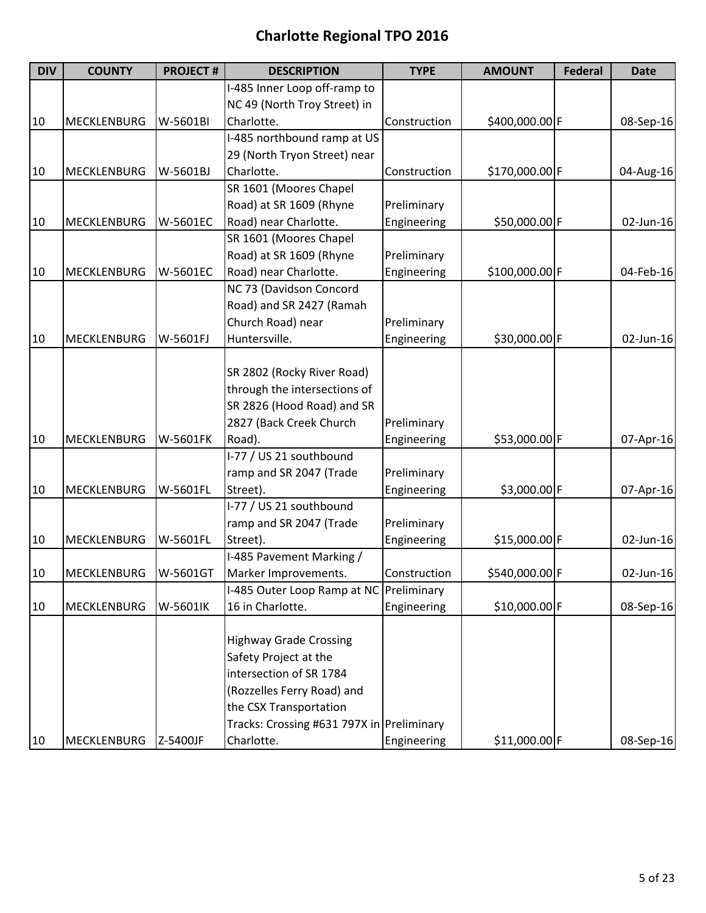| <b>DIV</b> | <b>COUNTY</b>      | <b>PROJECT#</b> | <b>DESCRIPTION</b>                        | <b>TYPE</b>  | <b>AMOUNT</b>  | <b>Federal</b> | <b>Date</b> |
|------------|--------------------|-----------------|-------------------------------------------|--------------|----------------|----------------|-------------|
|            |                    |                 | I-485 Inner Loop off-ramp to              |              |                |                |             |
|            |                    |                 | NC 49 (North Troy Street) in              |              |                |                |             |
| 10         | <b>MECKLENBURG</b> | W-5601BI        | Charlotte.                                | Construction | \$400,000.00 F |                | 08-Sep-16   |
|            |                    |                 | I-485 northbound ramp at US               |              |                |                |             |
|            |                    |                 | 29 (North Tryon Street) near              |              |                |                |             |
| 10         | <b>MECKLENBURG</b> | W-5601BJ        | Charlotte.                                | Construction | \$170,000.00 F |                | 04-Aug-16   |
|            |                    |                 | SR 1601 (Moores Chapel                    |              |                |                |             |
|            |                    |                 | Road) at SR 1609 (Rhyne                   | Preliminary  |                |                |             |
| 10         | <b>MECKLENBURG</b> | W-5601EC        | Road) near Charlotte.                     | Engineering  | \$50,000.00 F  |                | 02-Jun-16   |
|            |                    |                 | SR 1601 (Moores Chapel                    |              |                |                |             |
|            |                    |                 | Road) at SR 1609 (Rhyne                   | Preliminary  |                |                |             |
| 10         | <b>MECKLENBURG</b> | W-5601EC        | Road) near Charlotte.                     | Engineering  | \$100,000.00 F |                | 04-Feb-16   |
|            |                    |                 | NC 73 (Davidson Concord                   |              |                |                |             |
|            |                    |                 | Road) and SR 2427 (Ramah                  |              |                |                |             |
|            |                    |                 | Church Road) near                         | Preliminary  |                |                |             |
| 10         | <b>MECKLENBURG</b> | W-5601FJ        | Huntersville.                             | Engineering  | \$30,000.00 F  |                | 02-Jun-16   |
|            |                    |                 |                                           |              |                |                |             |
|            |                    |                 | SR 2802 (Rocky River Road)                |              |                |                |             |
|            |                    |                 | through the intersections of              |              |                |                |             |
|            |                    |                 | SR 2826 (Hood Road) and SR                |              |                |                |             |
|            |                    |                 | 2827 (Back Creek Church                   | Preliminary  |                |                |             |
| 10         | <b>MECKLENBURG</b> | W-5601FK        | Road).                                    | Engineering  | \$53,000.00 F  |                | 07-Apr-16   |
|            |                    |                 | I-77 / US 21 southbound                   |              |                |                |             |
|            |                    |                 | ramp and SR 2047 (Trade                   | Preliminary  |                |                |             |
| 10         | <b>MECKLENBURG</b> | W-5601FL        | Street).                                  | Engineering  | \$3,000.00 F   |                | 07-Apr-16   |
|            |                    |                 | I-77 / US 21 southbound                   |              |                |                |             |
|            |                    |                 | ramp and SR 2047 (Trade                   | Preliminary  |                |                |             |
| 10         | <b>MECKLENBURG</b> | W-5601FL        | Street).                                  | Engineering  | \$15,000.00 F  |                | 02-Jun-16   |
|            |                    |                 | I-485 Pavement Marking /                  |              |                |                |             |
| 10         | MECKLENBURG        | W-5601GT        | Marker Improvements.                      | Construction | \$540,000.00 F |                | 02-Jun-16   |
|            |                    |                 | I-485 Outer Loop Ramp at NC Preliminary   |              |                |                |             |
| 10         | MECKLENBURG        | W-5601lK        | 16 in Charlotte.                          | Engineering  | \$10,000.00 F  |                | 08-Sep-16   |
|            |                    |                 |                                           |              |                |                |             |
|            |                    |                 | <b>Highway Grade Crossing</b>             |              |                |                |             |
|            |                    |                 | Safety Project at the                     |              |                |                |             |
|            |                    |                 | intersection of SR 1784                   |              |                |                |             |
|            |                    |                 | (Rozzelles Ferry Road) and                |              |                |                |             |
|            |                    |                 | the CSX Transportation                    |              |                |                |             |
|            |                    |                 | Tracks: Crossing #631 797X in Preliminary |              |                |                |             |
| 10         | MECKLENBURG        | Z-5400JF        | Charlotte.                                | Engineering  | \$11,000.00 F  |                | 08-Sep-16   |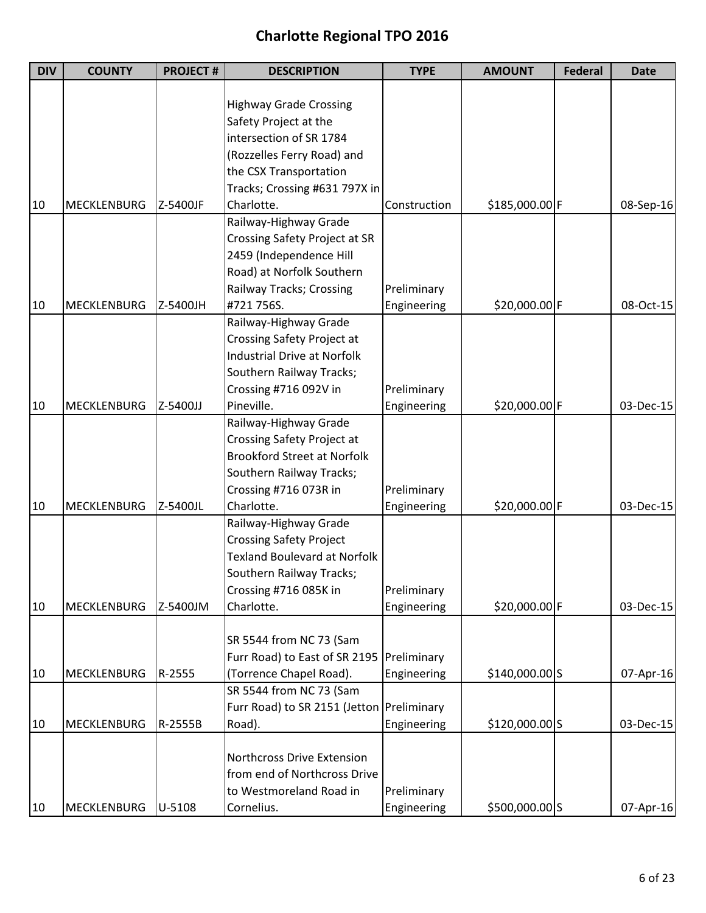| <b>DIV</b> | <b>COUNTY</b>      | <b>PROJECT#</b> | <b>DESCRIPTION</b>                        | <b>TYPE</b>  | <b>AMOUNT</b>   | <b>Federal</b> | <b>Date</b> |
|------------|--------------------|-----------------|-------------------------------------------|--------------|-----------------|----------------|-------------|
|            |                    |                 |                                           |              |                 |                |             |
|            |                    |                 | <b>Highway Grade Crossing</b>             |              |                 |                |             |
|            |                    |                 | Safety Project at the                     |              |                 |                |             |
|            |                    |                 | intersection of SR 1784                   |              |                 |                |             |
|            |                    |                 | (Rozzelles Ferry Road) and                |              |                 |                |             |
|            |                    |                 | the CSX Transportation                    |              |                 |                |             |
|            |                    |                 | Tracks; Crossing #631 797X in             |              |                 |                |             |
| 10         | <b>MECKLENBURG</b> | Z-5400JF        | Charlotte.                                | Construction | \$185,000.00 F  |                | 08-Sep-16   |
|            |                    |                 | Railway-Highway Grade                     |              |                 |                |             |
|            |                    |                 | Crossing Safety Project at SR             |              |                 |                |             |
|            |                    |                 | 2459 (Independence Hill                   |              |                 |                |             |
|            |                    |                 | Road) at Norfolk Southern                 |              |                 |                |             |
|            |                    |                 | Railway Tracks; Crossing                  | Preliminary  |                 |                |             |
| 10         | <b>MECKLENBURG</b> | Z-5400JH        | #721 756S.                                | Engineering  | \$20,000.00 F   |                | 08-Oct-15   |
|            |                    |                 | Railway-Highway Grade                     |              |                 |                |             |
|            |                    |                 | Crossing Safety Project at                |              |                 |                |             |
|            |                    |                 | <b>Industrial Drive at Norfolk</b>        |              |                 |                |             |
|            |                    |                 | Southern Railway Tracks;                  |              |                 |                |             |
|            |                    |                 | Crossing #716 092V in                     | Preliminary  |                 |                |             |
| 10         | <b>MECKLENBURG</b> | Z-5400JJ        | Pineville.                                | Engineering  | \$20,000.00 F   |                | 03-Dec-15   |
|            |                    |                 | Railway-Highway Grade                     |              |                 |                |             |
|            |                    |                 | Crossing Safety Project at                |              |                 |                |             |
|            |                    |                 | <b>Brookford Street at Norfolk</b>        |              |                 |                |             |
|            |                    |                 | Southern Railway Tracks;                  |              |                 |                |             |
|            |                    |                 | Crossing #716 073R in                     | Preliminary  |                 |                |             |
| 10         | <b>MECKLENBURG</b> | Z-5400JL        | Charlotte.                                | Engineering  | \$20,000.00 F   |                | 03-Dec-15   |
|            |                    |                 | Railway-Highway Grade                     |              |                 |                |             |
|            |                    |                 | <b>Crossing Safety Project</b>            |              |                 |                |             |
|            |                    |                 | <b>Texland Boulevard at Norfolk</b>       |              |                 |                |             |
|            |                    |                 | Southern Railway Tracks;                  |              |                 |                |             |
|            |                    |                 | Crossing #716 085K in                     | Preliminary  |                 |                |             |
| 10         | <b>MECKLENBURG</b> | Z-5400JM        | Charlotte.                                | Engineering  | \$20,000.00 F   |                | 03-Dec-15   |
|            |                    |                 |                                           |              |                 |                |             |
|            |                    |                 | SR 5544 from NC 73 (Sam                   |              |                 |                |             |
|            |                    |                 |                                           |              |                 |                |             |
|            |                    |                 | Furr Road) to East of SR 2195             | Preliminary  |                 |                |             |
| 10         | MECKLENBURG        | R-2555          | (Torrence Chapel Road).                   | Engineering  | $$140,000.00$ S |                | 07-Apr-16   |
|            |                    |                 | SR 5544 from NC 73 (Sam                   |              |                 |                |             |
|            |                    |                 | Furr Road) to SR 2151 (Jetton Preliminary |              |                 |                |             |
| 10         | <b>MECKLENBURG</b> | R-2555B         | Road).                                    | Engineering  | \$120,000.00 S  |                | 03-Dec-15   |
|            |                    |                 |                                           |              |                 |                |             |
|            |                    |                 | Northcross Drive Extension                |              |                 |                |             |
|            |                    |                 | from end of Northcross Drive              |              |                 |                |             |
|            |                    |                 | to Westmoreland Road in                   | Preliminary  |                 |                |             |
| 10         | MECKLENBURG        | U-5108          | Cornelius.                                | Engineering  | \$500,000.00 S  |                | 07-Apr-16   |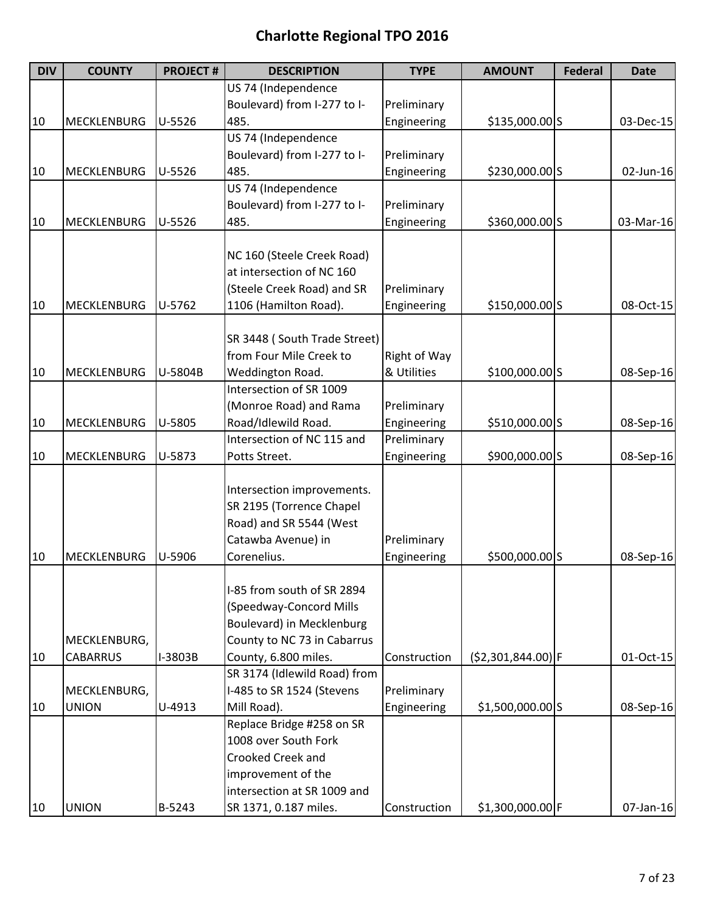| <b>DIV</b> | <b>COUNTY</b>      | <b>PROJECT#</b> | <b>DESCRIPTION</b>           | <b>TYPE</b>  | <b>AMOUNT</b>       | <b>Federal</b> | <b>Date</b> |
|------------|--------------------|-----------------|------------------------------|--------------|---------------------|----------------|-------------|
|            |                    |                 | US 74 (Independence          |              |                     |                |             |
|            |                    |                 | Boulevard) from I-277 to I-  | Preliminary  |                     |                |             |
| 10         | MECKLENBURG        | $U-5526$        | 485.                         | Engineering  | \$135,000.00 S      |                | 03-Dec-15   |
|            |                    |                 | US 74 (Independence          |              |                     |                |             |
|            |                    |                 | Boulevard) from I-277 to I-  | Preliminary  |                     |                |             |
| 10         | MECKLENBURG        | $U-5526$        | 485.                         | Engineering  | \$230,000.00 S      |                | 02-Jun-16   |
|            |                    |                 | US 74 (Independence          |              |                     |                |             |
|            |                    |                 | Boulevard) from I-277 to I-  | Preliminary  |                     |                |             |
| 10         | MECKLENBURG        | $U-5526$        | 485.                         | Engineering  | \$360,000.00 S      |                | 03-Mar-16   |
|            |                    |                 |                              |              |                     |                |             |
|            |                    |                 | NC 160 (Steele Creek Road)   |              |                     |                |             |
|            |                    |                 | at intersection of NC 160    |              |                     |                |             |
|            |                    |                 | (Steele Creek Road) and SR   | Preliminary  |                     |                |             |
| 10         | MECKLENBURG        | U-5762          | 1106 (Hamilton Road).        | Engineering  | \$150,000.00 S      |                | 08-Oct-15   |
|            |                    |                 |                              |              |                     |                |             |
|            |                    |                 | SR 3448 (South Trade Street) |              |                     |                |             |
|            |                    |                 | from Four Mile Creek to      | Right of Way |                     |                |             |
| 10         | <b>MECKLENBURG</b> | U-5804B         | Weddington Road.             | & Utilities  | \$100,000.00 S      |                | 08-Sep-16   |
|            |                    |                 | Intersection of SR 1009      |              |                     |                |             |
|            |                    |                 | (Monroe Road) and Rama       | Preliminary  |                     |                |             |
| 10         | <b>MECKLENBURG</b> | U-5805          | Road/Idlewild Road.          | Engineering  | \$510,000.00 S      |                | 08-Sep-16   |
|            |                    |                 | Intersection of NC 115 and   | Preliminary  |                     |                |             |
| 10         | <b>MECKLENBURG</b> | U-5873          | Potts Street.                | Engineering  | \$900,000.00 S      |                | 08-Sep-16   |
|            |                    |                 |                              |              |                     |                |             |
|            |                    |                 | Intersection improvements.   |              |                     |                |             |
|            |                    |                 | SR 2195 (Torrence Chapel     |              |                     |                |             |
|            |                    |                 | Road) and SR 5544 (West      |              |                     |                |             |
|            |                    |                 | Catawba Avenue) in           | Preliminary  |                     |                |             |
| 10         | <b>MECKLENBURG</b> | U-5906          | Corenelius.                  | Engineering  | \$500,000.00 S      |                | 08-Sep-16   |
|            |                    |                 |                              |              |                     |                |             |
|            |                    |                 | I-85 from south of SR 2894   |              |                     |                |             |
|            |                    |                 | (Speedway-Concord Mills      |              |                     |                |             |
|            |                    |                 | Boulevard) in Mecklenburg    |              |                     |                |             |
|            | MECKLENBURG,       |                 | County to NC 73 in Cabarrus  |              |                     |                |             |
| 10         | <b>CABARRUS</b>    | I-3803B         | County, 6.800 miles.         | Construction | $(52,301,844.00)$ F |                | 01-Oct-15   |
|            |                    |                 | SR 3174 (Idlewild Road) from |              |                     |                |             |
|            | MECKLENBURG,       |                 | I-485 to SR 1524 (Stevens    | Preliminary  |                     |                |             |
| 10         | <b>UNION</b>       | U-4913          | Mill Road).                  | Engineering  | $$1,500,000.00$ S   |                | 08-Sep-16   |
|            |                    |                 | Replace Bridge #258 on SR    |              |                     |                |             |
|            |                    |                 | 1008 over South Fork         |              |                     |                |             |
|            |                    |                 | Crooked Creek and            |              |                     |                |             |
|            |                    |                 | improvement of the           |              |                     |                |             |
|            |                    |                 | intersection at SR 1009 and  |              |                     |                |             |
| 10         | <b>UNION</b>       | B-5243          | SR 1371, 0.187 miles.        | Construction | \$1,300,000.00 F    |                | 07-Jan-16   |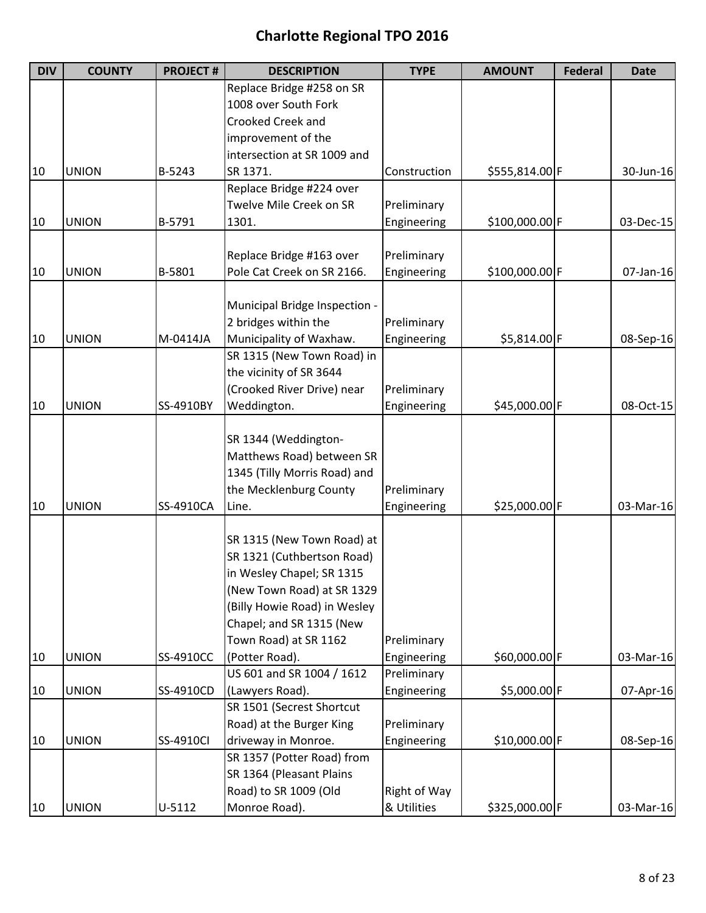| <b>DIV</b> | <b>COUNTY</b> | <b>PROJECT#</b> | <b>DESCRIPTION</b>                     | <b>TYPE</b>  | <b>AMOUNT</b>  | <b>Federal</b> | <b>Date</b> |
|------------|---------------|-----------------|----------------------------------------|--------------|----------------|----------------|-------------|
|            |               |                 | Replace Bridge #258 on SR              |              |                |                |             |
|            |               |                 | 1008 over South Fork                   |              |                |                |             |
|            |               |                 | Crooked Creek and                      |              |                |                |             |
|            |               |                 | improvement of the                     |              |                |                |             |
|            |               |                 | intersection at SR 1009 and            |              |                |                |             |
| 10         | <b>UNION</b>  | B-5243          | SR 1371.                               | Construction | \$555,814.00 F |                | 30-Jun-16   |
|            |               |                 | Replace Bridge #224 over               |              |                |                |             |
|            |               |                 | Twelve Mile Creek on SR                | Preliminary  |                |                |             |
| 10         | <b>UNION</b>  | B-5791          | 1301.                                  | Engineering  | \$100,000.00 F |                | 03-Dec-15   |
|            |               |                 |                                        |              |                |                |             |
|            |               |                 | Replace Bridge #163 over               | Preliminary  |                |                |             |
| 10         | <b>UNION</b>  | B-5801          | Pole Cat Creek on SR 2166.             | Engineering  | \$100,000.00 F |                | 07-Jan-16   |
|            |               |                 |                                        |              |                |                |             |
|            |               |                 | Municipal Bridge Inspection -          |              |                |                |             |
|            |               |                 | 2 bridges within the                   | Preliminary  |                |                |             |
| 10         | <b>UNION</b>  | M-0414JA        | Municipality of Waxhaw.                | Engineering  | \$5,814.00 F   |                | 08-Sep-16   |
|            |               |                 | SR 1315 (New Town Road) in             |              |                |                |             |
|            |               |                 | the vicinity of SR 3644                |              |                |                |             |
|            |               |                 | (Crooked River Drive) near             | Preliminary  |                |                |             |
| 10         | <b>UNION</b>  | SS-4910BY       | Weddington.                            | Engineering  | \$45,000.00 F  |                | 08-Oct-15   |
|            |               |                 |                                        |              |                |                |             |
|            |               |                 | SR 1344 (Weddington-                   |              |                |                |             |
|            |               |                 | Matthews Road) between SR              |              |                |                |             |
|            |               |                 | 1345 (Tilly Morris Road) and           |              |                |                |             |
|            |               |                 | the Mecklenburg County                 | Preliminary  |                |                |             |
| 10         | <b>UNION</b>  | SS-4910CA       | Line.                                  | Engineering  | \$25,000.00 F  |                | 03-Mar-16   |
|            |               |                 |                                        |              |                |                |             |
|            |               |                 | SR 1315 (New Town Road) at             |              |                |                |             |
|            |               |                 | SR 1321 (Cuthbertson Road)             |              |                |                |             |
|            |               |                 | in Wesley Chapel; SR 1315              |              |                |                |             |
|            |               |                 | (New Town Road) at SR 1329             |              |                |                |             |
|            |               |                 | (Billy Howie Road) in Wesley           |              |                |                |             |
|            |               |                 | Chapel; and SR 1315 (New               |              |                |                |             |
|            |               |                 | Town Road) at SR 1162                  | Preliminary  |                |                |             |
| 10         | <b>UNION</b>  | SS-4910CC       | (Potter Road).                         | Engineering  | \$60,000.00 F  |                | 03-Mar-16   |
|            |               |                 | US 601 and SR 1004 / 1612              | Preliminary  |                |                |             |
| 10         | <b>UNION</b>  | SS-4910CD       | (Lawyers Road).                        | Engineering  | \$5,000.00 F   |                | 07-Apr-16   |
|            |               |                 | SR 1501 (Secrest Shortcut              |              |                |                |             |
|            |               |                 | Road) at the Burger King               | Preliminary  |                |                |             |
| 10         | <b>UNION</b>  | SS-4910Cl       | driveway in Monroe.                    | Engineering  | \$10,000.00 F  |                | 08-Sep-16   |
|            |               |                 | SR 1357 (Potter Road) from             |              |                |                |             |
|            |               |                 | SR 1364 (Pleasant Plains               |              |                |                |             |
|            |               |                 |                                        |              |                |                |             |
|            |               |                 | Road) to SR 1009 (Old<br>Monroe Road). | Right of Way |                |                |             |
| 10         | <b>UNION</b>  | U-5112          |                                        | & Utilities  | \$325,000.00 F |                | 03-Mar-16   |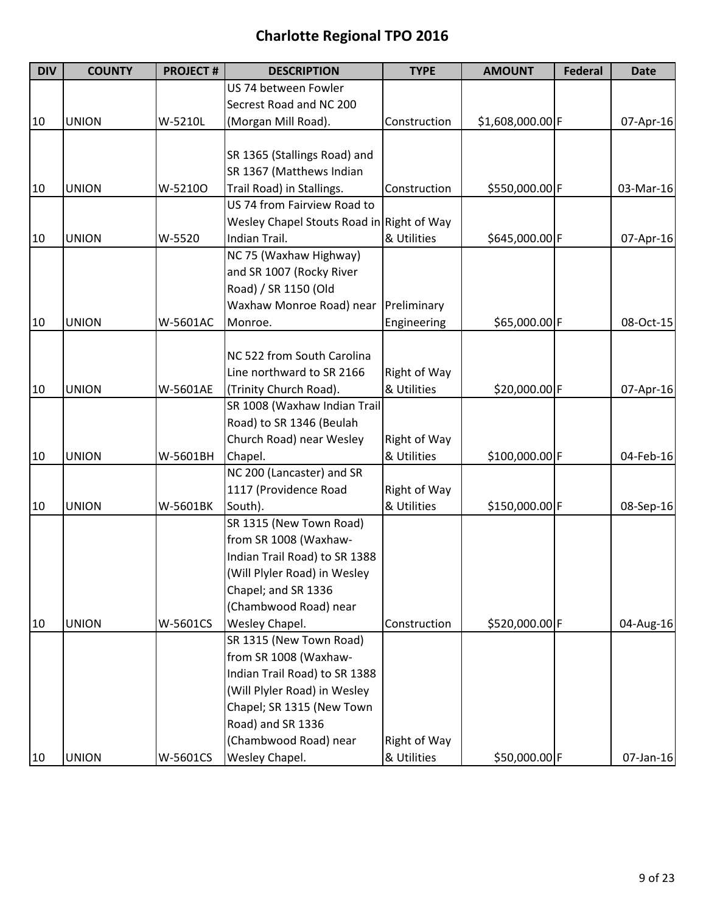| <b>DIV</b> | <b>COUNTY</b> | <b>PROJECT#</b> | <b>DESCRIPTION</b>                        | <b>TYPE</b>         | <b>AMOUNT</b>    | <b>Federal</b> | <b>Date</b> |
|------------|---------------|-----------------|-------------------------------------------|---------------------|------------------|----------------|-------------|
|            |               |                 | US 74 between Fowler                      |                     |                  |                |             |
|            |               |                 | Secrest Road and NC 200                   |                     |                  |                |             |
| 10         | <b>UNION</b>  | W-5210L         | (Morgan Mill Road).                       | Construction        | \$1,608,000.00 F |                | 07-Apr-16   |
|            |               |                 |                                           |                     |                  |                |             |
|            |               |                 | SR 1365 (Stallings Road) and              |                     |                  |                |             |
|            |               |                 | SR 1367 (Matthews Indian                  |                     |                  |                |             |
| 10         | <b>UNION</b>  | W-52100         | Trail Road) in Stallings.                 | Construction        | \$550,000.00 F   |                | 03-Mar-16   |
|            |               |                 | US 74 from Fairview Road to               |                     |                  |                |             |
|            |               |                 | Wesley Chapel Stouts Road in Right of Way |                     |                  |                |             |
| 10         | <b>UNION</b>  | W-5520          | Indian Trail.                             | & Utilities         | \$645,000.00 F   |                | 07-Apr-16   |
|            |               |                 | NC 75 (Waxhaw Highway)                    |                     |                  |                |             |
|            |               |                 | and SR 1007 (Rocky River                  |                     |                  |                |             |
|            |               |                 | Road) / SR 1150 (Old                      |                     |                  |                |             |
|            |               |                 | Waxhaw Monroe Road) near                  | Preliminary         |                  |                |             |
| 10         | <b>UNION</b>  | W-5601AC        | Monroe.                                   | Engineering         | \$65,000.00 F    |                | 08-Oct-15   |
|            |               |                 |                                           |                     |                  |                |             |
|            |               |                 | NC 522 from South Carolina                |                     |                  |                |             |
|            |               |                 | Line northward to SR 2166                 | Right of Way        |                  |                |             |
| 10         | <b>UNION</b>  | W-5601AE        | (Trinity Church Road).                    | & Utilities         | \$20,000.00 F    |                | 07-Apr-16   |
|            |               |                 | SR 1008 (Waxhaw Indian Trail              |                     |                  |                |             |
|            |               |                 | Road) to SR 1346 (Beulah                  |                     |                  |                |             |
|            |               |                 | Church Road) near Wesley                  | Right of Way        |                  |                |             |
| 10         | <b>UNION</b>  | W-5601BH        | Chapel.                                   | & Utilities         | \$100,000.00 F   |                | 04-Feb-16   |
|            |               |                 | NC 200 (Lancaster) and SR                 |                     |                  |                |             |
|            |               |                 | 1117 (Providence Road                     | Right of Way        |                  |                |             |
| 10         | <b>UNION</b>  | W-5601BK        | South).                                   | & Utilities         | \$150,000.00 F   |                | 08-Sep-16   |
|            |               |                 | SR 1315 (New Town Road)                   |                     |                  |                |             |
|            |               |                 | from SR 1008 (Waxhaw-                     |                     |                  |                |             |
|            |               |                 | Indian Trail Road) to SR 1388             |                     |                  |                |             |
|            |               |                 | (Will Plyler Road) in Wesley              |                     |                  |                |             |
|            |               |                 | Chapel; and SR 1336                       |                     |                  |                |             |
|            |               |                 | (Chambwood Road) near                     |                     |                  |                |             |
| 10         | <b>UNION</b>  | W-5601CS        | Wesley Chapel.                            | Construction        | \$520,000.00 F   |                | 04-Aug-16   |
|            |               |                 | SR 1315 (New Town Road)                   |                     |                  |                |             |
|            |               |                 | from SR 1008 (Waxhaw-                     |                     |                  |                |             |
|            |               |                 | Indian Trail Road) to SR 1388             |                     |                  |                |             |
|            |               |                 | (Will Plyler Road) in Wesley              |                     |                  |                |             |
|            |               |                 | Chapel; SR 1315 (New Town                 |                     |                  |                |             |
|            |               |                 | Road) and SR 1336                         |                     |                  |                |             |
|            |               |                 | (Chambwood Road) near                     | <b>Right of Way</b> |                  |                |             |
| 10         | <b>UNION</b>  | W-5601CS        | Wesley Chapel.                            | & Utilities         | \$50,000.00 F    |                | 07-Jan-16   |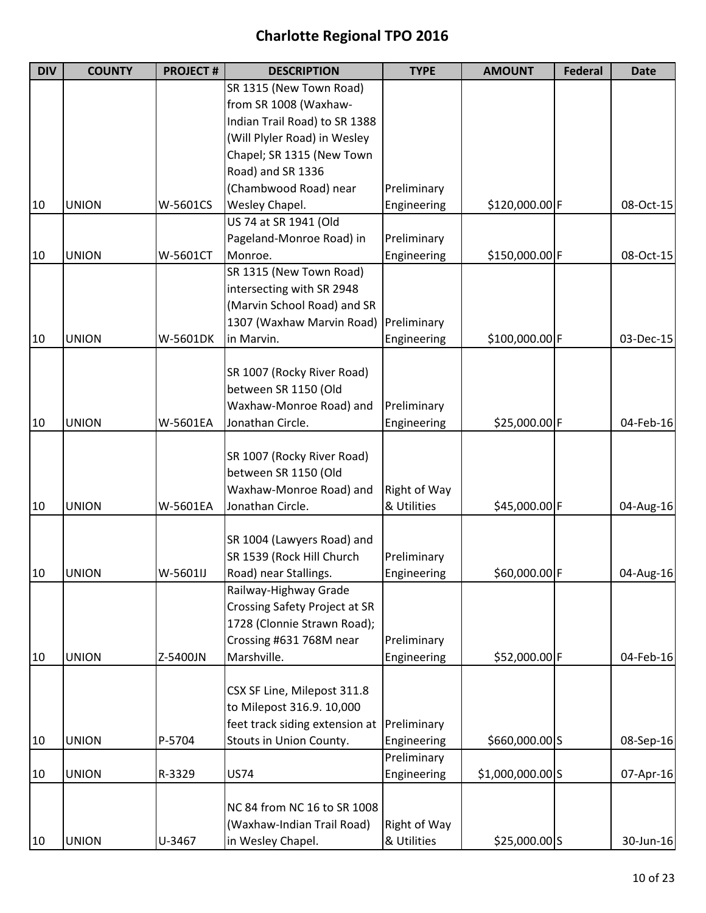| <b>DIV</b> | <b>COUNTY</b> | <b>PROJECT#</b> | <b>DESCRIPTION</b>                   | <b>TYPE</b>         | <b>AMOUNT</b>     | <b>Federal</b> | <b>Date</b> |
|------------|---------------|-----------------|--------------------------------------|---------------------|-------------------|----------------|-------------|
|            |               |                 | SR 1315 (New Town Road)              |                     |                   |                |             |
|            |               |                 | from SR 1008 (Waxhaw-                |                     |                   |                |             |
|            |               |                 | Indian Trail Road) to SR 1388        |                     |                   |                |             |
|            |               |                 | (Will Plyler Road) in Wesley         |                     |                   |                |             |
|            |               |                 | Chapel; SR 1315 (New Town            |                     |                   |                |             |
|            |               |                 | Road) and SR 1336                    |                     |                   |                |             |
|            |               |                 | (Chambwood Road) near                | Preliminary         |                   |                |             |
| 10         | <b>UNION</b>  | W-5601CS        | Wesley Chapel.                       | Engineering         | \$120,000.00 F    |                | 08-Oct-15   |
|            |               |                 | US 74 at SR 1941 (Old                |                     |                   |                |             |
|            |               |                 | Pageland-Monroe Road) in             | Preliminary         |                   |                |             |
| 10         | <b>UNION</b>  | W-5601CT        | Monroe.                              | Engineering         | \$150,000.00 F    |                | 08-Oct-15   |
|            |               |                 | SR 1315 (New Town Road)              |                     |                   |                |             |
|            |               |                 | intersecting with SR 2948            |                     |                   |                |             |
|            |               |                 | (Marvin School Road) and SR          |                     |                   |                |             |
|            |               |                 | 1307 (Waxhaw Marvin Road)            | Preliminary         |                   |                |             |
| 10         | <b>UNION</b>  | W-5601DK        | in Marvin.                           | Engineering         | \$100,000.00 F    |                | 03-Dec-15   |
|            |               |                 |                                      |                     |                   |                |             |
|            |               |                 | SR 1007 (Rocky River Road)           |                     |                   |                |             |
|            |               |                 | between SR 1150 (Old                 |                     |                   |                |             |
|            |               |                 | Waxhaw-Monroe Road) and              | Preliminary         |                   |                |             |
| 10         | <b>UNION</b>  | W-5601EA        | Jonathan Circle.                     | Engineering         | \$25,000.00 F     |                | 04-Feb-16   |
|            |               |                 |                                      |                     |                   |                |             |
|            |               |                 | SR 1007 (Rocky River Road)           |                     |                   |                |             |
|            |               |                 | between SR 1150 (Old                 |                     |                   |                |             |
|            |               |                 | Waxhaw-Monroe Road) and              | Right of Way        |                   |                |             |
| 10         | <b>UNION</b>  | W-5601EA        | Jonathan Circle.                     | & Utilities         | \$45,000.00 F     |                | 04-Aug-16   |
|            |               |                 |                                      |                     |                   |                |             |
|            |               |                 | SR 1004 (Lawyers Road) and           |                     |                   |                |             |
|            |               |                 | SR 1539 (Rock Hill Church            | Preliminary         |                   |                |             |
| 10         | <b>UNION</b>  | W-5601IJ        | Road) near Stallings.                | Engineering         | \$60,000.00 F     |                | 04-Aug-16   |
|            |               |                 | Railway-Highway Grade                |                     |                   |                |             |
|            |               |                 | <b>Crossing Safety Project at SR</b> |                     |                   |                |             |
|            |               |                 | 1728 (Clonnie Strawn Road);          |                     |                   |                |             |
|            |               |                 | Crossing #631 768M near              |                     |                   |                |             |
|            |               |                 |                                      | Preliminary         |                   |                |             |
| 10         | <b>UNION</b>  | Z-5400JN        | Marshville.                          | Engineering         | \$52,000.00 F     |                | 04-Feb-16   |
|            |               |                 |                                      |                     |                   |                |             |
|            |               |                 | CSX SF Line, Milepost 311.8          |                     |                   |                |             |
|            |               |                 | to Milepost 316.9. 10,000            |                     |                   |                |             |
|            |               |                 | feet track siding extension at       | Preliminary         |                   |                |             |
| 10         | <b>UNION</b>  | P-5704          | Stouts in Union County.              | Engineering         | \$660,000.00 S    |                | 08-Sep-16   |
|            |               |                 |                                      | Preliminary         |                   |                |             |
| 10         | <b>UNION</b>  | R-3329          | <b>US74</b>                          | Engineering         | $$1,000,000.00$ S |                | 07-Apr-16   |
|            |               |                 |                                      |                     |                   |                |             |
|            |               |                 | NC 84 from NC 16 to SR 1008          |                     |                   |                |             |
|            |               |                 | (Waxhaw-Indian Trail Road)           | <b>Right of Way</b> |                   |                |             |
| 10         | <b>UNION</b>  | U-3467          | in Wesley Chapel.                    | & Utilities         | $$25,000.00$ S    |                | 30-Jun-16   |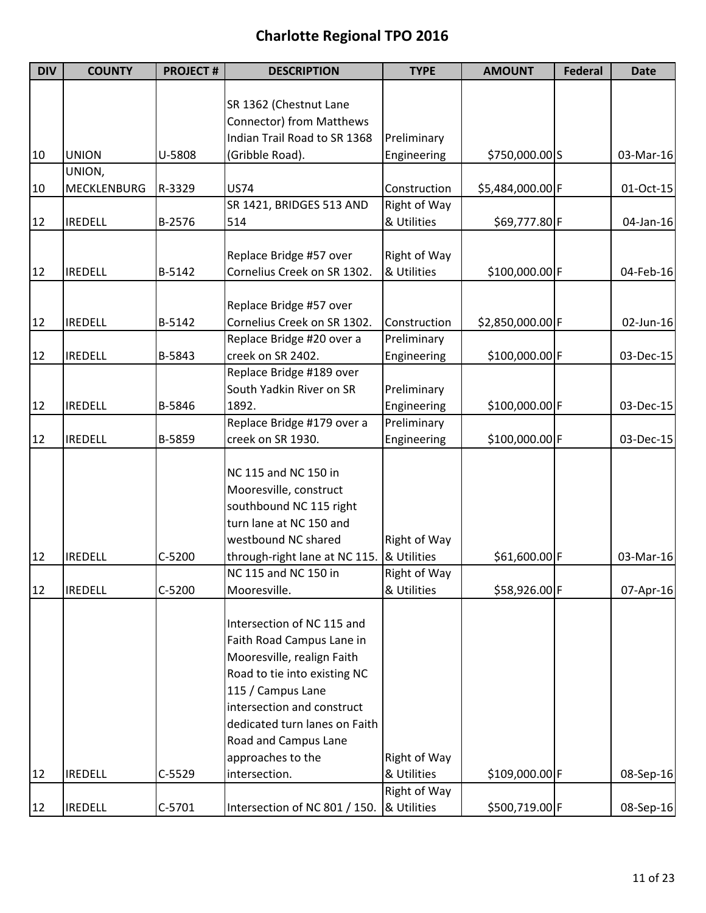| SR 1362 (Chestnut Lane<br><b>Connector) from Matthews</b><br>Indian Trail Road to SR 1368<br>Preliminary<br><b>UNION</b><br>U-5808<br>(Gribble Road).<br>Engineering<br>\$750,000.00 S<br>10<br>UNION,<br><b>MECKLENBURG</b><br><b>US74</b><br>10<br>R-3329<br>Construction<br>\$5,484,000.00 F<br>SR 1421, BRIDGES 513 AND<br>Right of Way<br>& Utilities<br>12<br><b>IREDELL</b><br>B-2576<br>514<br>\$69,777.80 F | 03-Mar-16<br>01-Oct-15<br>$04$ -Jan-16<br>04-Feb-16 |
|----------------------------------------------------------------------------------------------------------------------------------------------------------------------------------------------------------------------------------------------------------------------------------------------------------------------------------------------------------------------------------------------------------------------|-----------------------------------------------------|
|                                                                                                                                                                                                                                                                                                                                                                                                                      |                                                     |
|                                                                                                                                                                                                                                                                                                                                                                                                                      |                                                     |
|                                                                                                                                                                                                                                                                                                                                                                                                                      |                                                     |
|                                                                                                                                                                                                                                                                                                                                                                                                                      |                                                     |
|                                                                                                                                                                                                                                                                                                                                                                                                                      |                                                     |
|                                                                                                                                                                                                                                                                                                                                                                                                                      |                                                     |
|                                                                                                                                                                                                                                                                                                                                                                                                                      |                                                     |
|                                                                                                                                                                                                                                                                                                                                                                                                                      |                                                     |
|                                                                                                                                                                                                                                                                                                                                                                                                                      |                                                     |
|                                                                                                                                                                                                                                                                                                                                                                                                                      |                                                     |
| Right of Way<br>Replace Bridge #57 over                                                                                                                                                                                                                                                                                                                                                                              |                                                     |
| Cornelius Creek on SR 1302.<br>& Utilities<br>\$100,000.00 F<br><b>IREDELL</b><br>B-5142<br>12                                                                                                                                                                                                                                                                                                                       |                                                     |
|                                                                                                                                                                                                                                                                                                                                                                                                                      |                                                     |
| Replace Bridge #57 over                                                                                                                                                                                                                                                                                                                                                                                              |                                                     |
| Cornelius Creek on SR 1302.<br>\$2,850,000.00 F<br>12<br><b>IREDELL</b><br>B-5142<br>Construction                                                                                                                                                                                                                                                                                                                    | 02-Jun-16                                           |
| Replace Bridge #20 over a<br>Preliminary                                                                                                                                                                                                                                                                                                                                                                             |                                                     |
| creek on SR 2402.<br>\$100,000.00 F<br>12<br><b>IREDELL</b><br>B-5843<br>Engineering                                                                                                                                                                                                                                                                                                                                 | 03-Dec-15                                           |
| Replace Bridge #189 over                                                                                                                                                                                                                                                                                                                                                                                             |                                                     |
| South Yadkin River on SR<br>Preliminary                                                                                                                                                                                                                                                                                                                                                                              |                                                     |
| \$100,000.00 F<br>12<br><b>IREDELL</b><br>B-5846<br>1892.<br>Engineering                                                                                                                                                                                                                                                                                                                                             | 03-Dec-15                                           |
| Preliminary<br>Replace Bridge #179 over a                                                                                                                                                                                                                                                                                                                                                                            |                                                     |
| creek on SR 1930.<br>\$100,000.00 F<br>12<br><b>IREDELL</b><br>B-5859<br>Engineering                                                                                                                                                                                                                                                                                                                                 | 03-Dec-15                                           |
|                                                                                                                                                                                                                                                                                                                                                                                                                      |                                                     |
| NC 115 and NC 150 in                                                                                                                                                                                                                                                                                                                                                                                                 |                                                     |
| Mooresville, construct                                                                                                                                                                                                                                                                                                                                                                                               |                                                     |
| southbound NC 115 right                                                                                                                                                                                                                                                                                                                                                                                              |                                                     |
| turn lane at NC 150 and                                                                                                                                                                                                                                                                                                                                                                                              |                                                     |
| westbound NC shared<br>Right of Way                                                                                                                                                                                                                                                                                                                                                                                  |                                                     |
| $C-5200$<br>through-right lane at NC 115.<br>& Utilities<br>\$61,600.00 F<br>12<br><b>IREDELL</b>                                                                                                                                                                                                                                                                                                                    | 03-Mar-16                                           |
| NC 115 and NC 150 in<br>Right of Way                                                                                                                                                                                                                                                                                                                                                                                 |                                                     |
| $C-5200$<br>\$58,926.00 F<br>12<br><b>IREDELL</b><br>& Utilities<br>Mooresville.                                                                                                                                                                                                                                                                                                                                     | 07-Apr-16                                           |
|                                                                                                                                                                                                                                                                                                                                                                                                                      |                                                     |
| Intersection of NC 115 and                                                                                                                                                                                                                                                                                                                                                                                           |                                                     |
| Faith Road Campus Lane in                                                                                                                                                                                                                                                                                                                                                                                            |                                                     |
| Mooresville, realign Faith                                                                                                                                                                                                                                                                                                                                                                                           |                                                     |
| Road to tie into existing NC                                                                                                                                                                                                                                                                                                                                                                                         |                                                     |
| 115 / Campus Lane                                                                                                                                                                                                                                                                                                                                                                                                    |                                                     |
| intersection and construct                                                                                                                                                                                                                                                                                                                                                                                           |                                                     |
| dedicated turn lanes on Faith                                                                                                                                                                                                                                                                                                                                                                                        |                                                     |
| Road and Campus Lane                                                                                                                                                                                                                                                                                                                                                                                                 |                                                     |
| approaches to the<br>Right of Way                                                                                                                                                                                                                                                                                                                                                                                    |                                                     |
| intersection.<br>12<br><b>IREDELL</b><br>$C-5529$<br>& Utilities<br>\$109,000.00 F                                                                                                                                                                                                                                                                                                                                   | 08-Sep-16                                           |
| Right of Way                                                                                                                                                                                                                                                                                                                                                                                                         |                                                     |
| & Utilities<br>12<br><b>IREDELL</b><br>$C-5701$<br>Intersection of NC 801 / 150.<br>\$500,719.00 F                                                                                                                                                                                                                                                                                                                   |                                                     |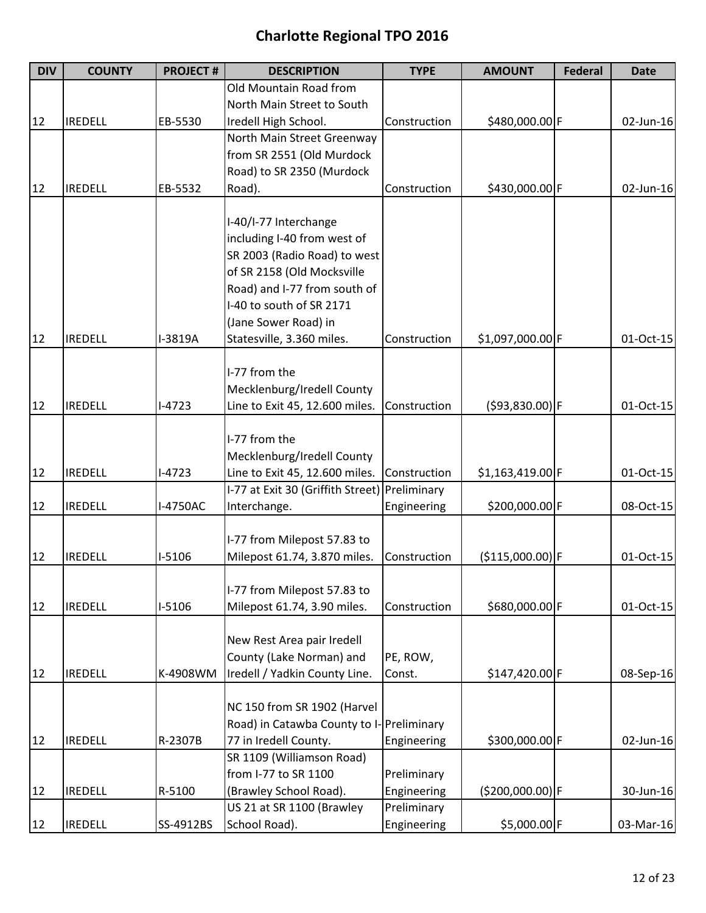| <b>DIV</b> | <b>COUNTY</b>  | <b>PROJECT#</b> | <b>DESCRIPTION</b>                            | <b>TYPE</b>  | <b>AMOUNT</b>      | <b>Federal</b> | <b>Date</b> |
|------------|----------------|-----------------|-----------------------------------------------|--------------|--------------------|----------------|-------------|
|            |                |                 | Old Mountain Road from                        |              |                    |                |             |
|            |                |                 | North Main Street to South                    |              |                    |                |             |
| 12         | <b>IREDELL</b> | EB-5530         | Iredell High School.                          | Construction | \$480,000.00 F     |                | 02-Jun-16   |
|            |                |                 | North Main Street Greenway                    |              |                    |                |             |
|            |                |                 | from SR 2551 (Old Murdock                     |              |                    |                |             |
|            |                |                 | Road) to SR 2350 (Murdock                     |              |                    |                |             |
| 12         | <b>IREDELL</b> | EB-5532         | Road).                                        | Construction | \$430,000.00 F     |                | 02-Jun-16   |
|            |                |                 |                                               |              |                    |                |             |
|            |                |                 | I-40/I-77 Interchange                         |              |                    |                |             |
|            |                |                 | including I-40 from west of                   |              |                    |                |             |
|            |                |                 | SR 2003 (Radio Road) to west                  |              |                    |                |             |
|            |                |                 | of SR 2158 (Old Mocksville                    |              |                    |                |             |
|            |                |                 | Road) and I-77 from south of                  |              |                    |                |             |
|            |                |                 | I-40 to south of SR 2171                      |              |                    |                |             |
|            |                |                 | (Jane Sower Road) in                          |              |                    |                |             |
| 12         | <b>IREDELL</b> | I-3819A         | Statesville, 3.360 miles.                     | Construction | \$1,097,000.00 F   |                | 01-Oct-15   |
|            |                |                 |                                               |              |                    |                |             |
|            |                |                 | I-77 from the                                 |              |                    |                |             |
|            |                |                 | Mecklenburg/Iredell County                    |              |                    |                |             |
| 12         | <b>IREDELL</b> | $I-4723$        | Line to Exit 45, 12.600 miles.                | Construction | $(593,830.00)$ F   |                | 01-Oct-15   |
|            |                |                 |                                               |              |                    |                |             |
|            |                |                 | I-77 from the                                 |              |                    |                |             |
|            |                |                 | Mecklenburg/Iredell County                    |              |                    |                |             |
| 12         | <b>IREDELL</b> | $I-4723$        | Line to Exit 45, 12.600 miles.                | Construction | $$1,163,419.00$ F  |                | 01-Oct-15   |
|            |                |                 | I-77 at Exit 30 (Griffith Street) Preliminary |              |                    |                |             |
| 12         | <b>IREDELL</b> | I-4750AC        | Interchange.                                  | Engineering  | \$200,000.00 F     |                | 08-Oct-15   |
|            |                |                 |                                               |              |                    |                |             |
|            |                |                 | I-77 from Milepost 57.83 to                   |              |                    |                |             |
| 12         | <b>IREDELL</b> | $I-5106$        | Milepost 61.74, 3.870 miles.                  | Construction | $($115,000.00)$ F  |                | 01-Oct-15   |
|            |                |                 |                                               |              |                    |                |             |
|            |                |                 | I-77 from Milepost 57.83 to                   |              |                    |                |             |
| 12         | <b>IREDELL</b> | $I-5106$        | Milepost 61.74, 3.90 miles.                   | Construction | \$680,000.00 F     |                | 01-Oct-15   |
|            |                |                 |                                               |              |                    |                |             |
|            |                |                 | New Rest Area pair Iredell                    |              |                    |                |             |
|            |                |                 | County (Lake Norman) and                      | PE, ROW,     |                    |                |             |
| 12         | <b>IREDELL</b> | K-4908WM        | Iredell / Yadkin County Line.                 | Const.       | \$147,420.00 F     |                | 08-Sep-16   |
|            |                |                 |                                               |              |                    |                |             |
|            |                |                 | NC 150 from SR 1902 (Harvel                   |              |                    |                |             |
|            |                |                 | Road) in Catawba County to I- Preliminary     |              |                    |                |             |
| 12         | <b>IREDELL</b> | R-2307B         | 77 in Iredell County.                         | Engineering  | \$300,000.00 F     |                | 02-Jun-16   |
|            |                |                 | SR 1109 (Williamson Road)                     |              |                    |                |             |
|            |                |                 | from I-77 to SR 1100                          | Preliminary  |                    |                |             |
| 12         | <b>IREDELL</b> | R-5100          | (Brawley School Road).                        | Engineering  | $( $200,000.00)$ F |                | 30-Jun-16   |
|            |                |                 | US 21 at SR 1100 (Brawley                     | Preliminary  |                    |                |             |
| 12         | <b>IREDELL</b> | SS-4912BS       | School Road).                                 | Engineering  | \$5,000.00 F       |                | 03-Mar-16   |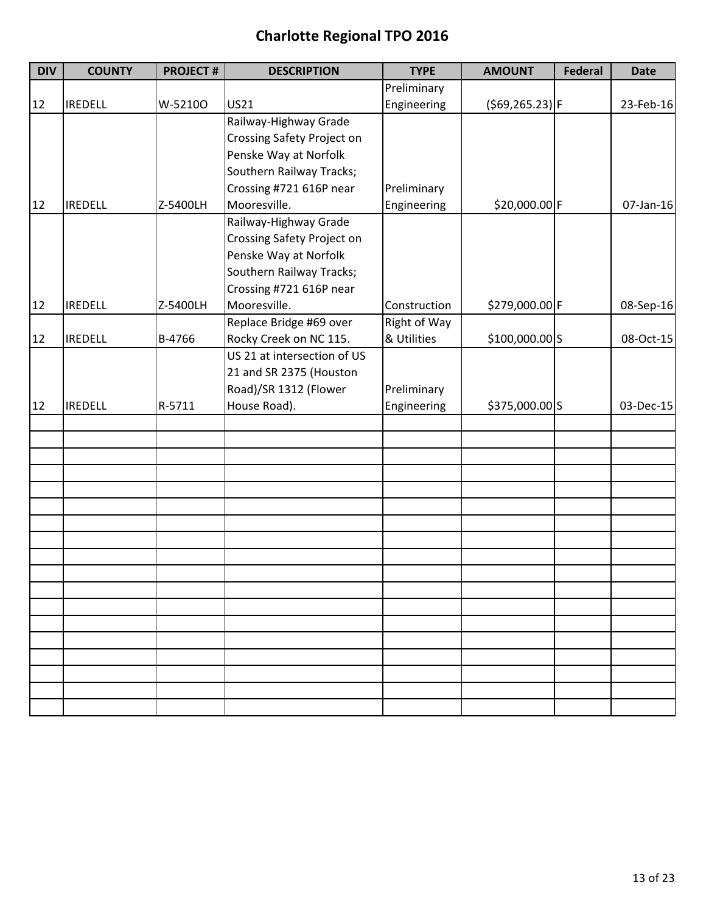| <b>DIV</b> | <b>COUNTY</b>  | <b>PROJECT#</b> | <b>DESCRIPTION</b>                | <b>TYPE</b>  | <b>AMOUNT</b>      | <b>Federal</b> | <b>Date</b> |
|------------|----------------|-----------------|-----------------------------------|--------------|--------------------|----------------|-------------|
|            |                |                 |                                   | Preliminary  |                    |                |             |
| 12         | <b>IREDELL</b> | W-52100         | <b>US21</b>                       | Engineering  | $( $69, 265.23)$ F |                | 23-Feb-16   |
|            |                |                 | Railway-Highway Grade             |              |                    |                |             |
|            |                |                 | <b>Crossing Safety Project on</b> |              |                    |                |             |
|            |                |                 | Penske Way at Norfolk             |              |                    |                |             |
|            |                |                 | Southern Railway Tracks;          |              |                    |                |             |
|            |                |                 | Crossing #721 616P near           | Preliminary  |                    |                |             |
| 12         | <b>IREDELL</b> | Z-5400LH        | Mooresville.                      | Engineering  | \$20,000.00 F      |                | 07-Jan-16   |
|            |                |                 | Railway-Highway Grade             |              |                    |                |             |
|            |                |                 | Crossing Safety Project on        |              |                    |                |             |
|            |                |                 | Penske Way at Norfolk             |              |                    |                |             |
|            |                |                 | Southern Railway Tracks;          |              |                    |                |             |
|            |                |                 | Crossing #721 616P near           |              |                    |                |             |
| 12         | <b>IREDELL</b> | Z-5400LH        | Mooresville.                      | Construction | \$279,000.00 F     |                | 08-Sep-16   |
|            |                |                 | Replace Bridge #69 over           | Right of Way |                    |                |             |
| 12         | <b>IREDELL</b> | B-4766          | Rocky Creek on NC 115.            | & Utilities  | \$100,000.00 S     |                | 08-Oct-15   |
|            |                |                 | US 21 at intersection of US       |              |                    |                |             |
|            |                |                 | 21 and SR 2375 (Houston           |              |                    |                |             |
|            |                |                 | Road)/SR 1312 (Flower             | Preliminary  |                    |                |             |
| 12         | <b>IREDELL</b> | R-5711          | House Road).                      | Engineering  | \$375,000.00 S     |                | 03-Dec-15   |
|            |                |                 |                                   |              |                    |                |             |
|            |                |                 |                                   |              |                    |                |             |
|            |                |                 |                                   |              |                    |                |             |
|            |                |                 |                                   |              |                    |                |             |
|            |                |                 |                                   |              |                    |                |             |
|            |                |                 |                                   |              |                    |                |             |
|            |                |                 |                                   |              |                    |                |             |
|            |                |                 |                                   |              |                    |                |             |
|            |                |                 |                                   |              |                    |                |             |
|            |                |                 |                                   |              |                    |                |             |
|            |                |                 |                                   |              |                    |                |             |
|            |                |                 |                                   |              |                    |                |             |
|            |                |                 |                                   |              |                    |                |             |
|            |                |                 |                                   |              |                    |                |             |
|            |                |                 |                                   |              |                    |                |             |
|            |                |                 |                                   |              |                    |                |             |
|            |                |                 |                                   |              |                    |                |             |
|            |                |                 |                                   |              |                    |                |             |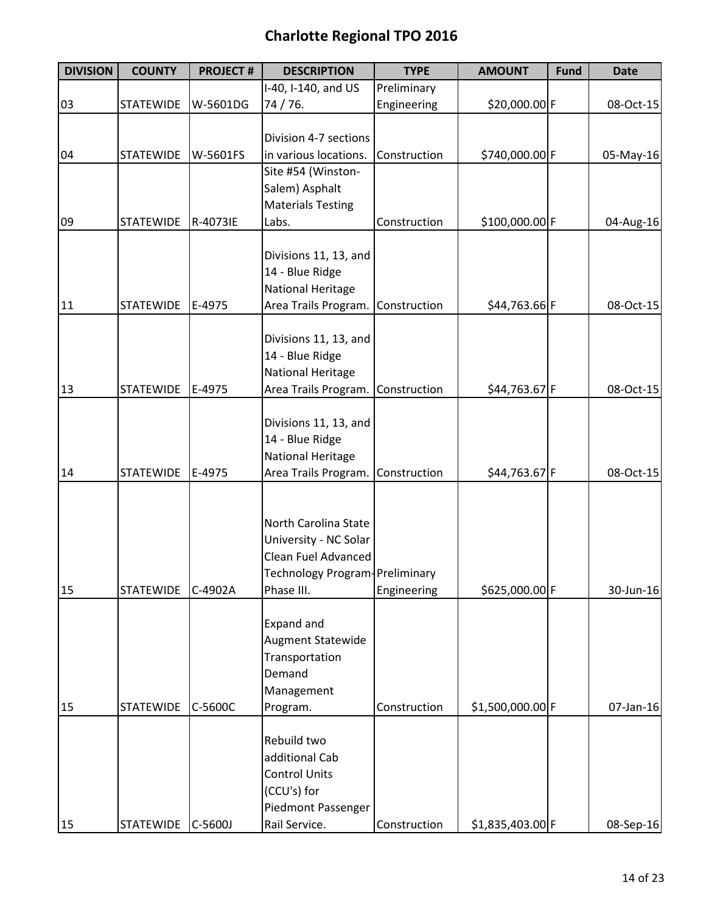| <b>DIVISION</b> | <b>COUNTY</b>    | <b>PROJECT#</b> | <b>DESCRIPTION</b>                | <b>TYPE</b>  | <b>AMOUNT</b>    | <b>Fund</b> | <b>Date</b> |
|-----------------|------------------|-----------------|-----------------------------------|--------------|------------------|-------------|-------------|
|                 |                  |                 | I-40, I-140, and US               | Preliminary  |                  |             |             |
| 03              | <b>STATEWIDE</b> | W-5601DG        | 74 / 76.                          | Engineering  | \$20,000.00 F    |             | 08-Oct-15   |
|                 |                  |                 |                                   |              |                  |             |             |
|                 |                  |                 | Division 4-7 sections             |              |                  |             |             |
| 04              | <b>STATEWIDE</b> | W-5601FS        | in various locations.             | Construction | \$740,000.00 F   |             | 05-May-16   |
|                 |                  |                 | Site #54 (Winston-                |              |                  |             |             |
|                 |                  |                 | Salem) Asphalt                    |              |                  |             |             |
|                 |                  |                 | <b>Materials Testing</b>          |              |                  |             |             |
| 09              | <b>STATEWIDE</b> | R-4073IE        | Labs.                             | Construction | \$100,000.00 F   |             | 04-Aug-16   |
|                 |                  |                 |                                   |              |                  |             |             |
|                 |                  |                 | Divisions 11, 13, and             |              |                  |             |             |
|                 |                  |                 | 14 - Blue Ridge                   |              |                  |             |             |
|                 |                  |                 | <b>National Heritage</b>          |              |                  |             |             |
| 11              | <b>STATEWIDE</b> | E-4975          | Area Trails Program.              | Construction | \$44,763.66 F    |             | 08-Oct-15   |
|                 |                  |                 |                                   |              |                  |             |             |
|                 |                  |                 | Divisions 11, 13, and             |              |                  |             |             |
|                 |                  |                 | 14 - Blue Ridge                   |              |                  |             |             |
| 13              | <b>STATEWIDE</b> | E-4975          | <b>National Heritage</b>          | Construction | \$44,763.67 F    |             |             |
|                 |                  |                 | Area Trails Program.              |              |                  |             | 08-Oct-15   |
|                 |                  |                 | Divisions 11, 13, and             |              |                  |             |             |
|                 |                  |                 | 14 - Blue Ridge                   |              |                  |             |             |
|                 |                  |                 | <b>National Heritage</b>          |              |                  |             |             |
| 14              | <b>STATEWIDE</b> | E-4975          | Area Trails Program. Construction |              | \$44,763.67 F    |             | 08-Oct-15   |
|                 |                  |                 |                                   |              |                  |             |             |
|                 |                  |                 |                                   |              |                  |             |             |
|                 |                  |                 | North Carolina State              |              |                  |             |             |
|                 |                  |                 | University - NC Solar             |              |                  |             |             |
|                 |                  |                 | <b>Clean Fuel Advanced</b>        |              |                  |             |             |
|                 |                  |                 | Technology Program-Preliminary    |              |                  |             |             |
| 15              | <b>STATEWIDE</b> | C-4902A         | Phase III.                        | Engineering  | \$625,000.00 F   |             | 30-Jun-16   |
|                 |                  |                 |                                   |              |                  |             |             |
|                 |                  |                 | Expand and                        |              |                  |             |             |
|                 |                  |                 | Augment Statewide                 |              |                  |             |             |
|                 |                  |                 | Transportation                    |              |                  |             |             |
|                 |                  |                 | Demand                            |              |                  |             |             |
|                 |                  |                 | Management                        |              |                  |             |             |
| 15              | <b>STATEWIDE</b> | C-5600C         | Program.                          | Construction | \$1,500,000.00 F |             | 07-Jan-16   |
|                 |                  |                 |                                   |              |                  |             |             |
|                 |                  |                 | Rebuild two                       |              |                  |             |             |
|                 |                  |                 | additional Cab                    |              |                  |             |             |
|                 |                  |                 | <b>Control Units</b>              |              |                  |             |             |
|                 |                  |                 | (CCU's) for                       |              |                  |             |             |
|                 |                  |                 | Piedmont Passenger                |              |                  |             |             |
| 15              | STATEWIDE        | C-5600J         | Rail Service.                     | Construction | \$1,835,403.00 F |             | 08-Sep-16   |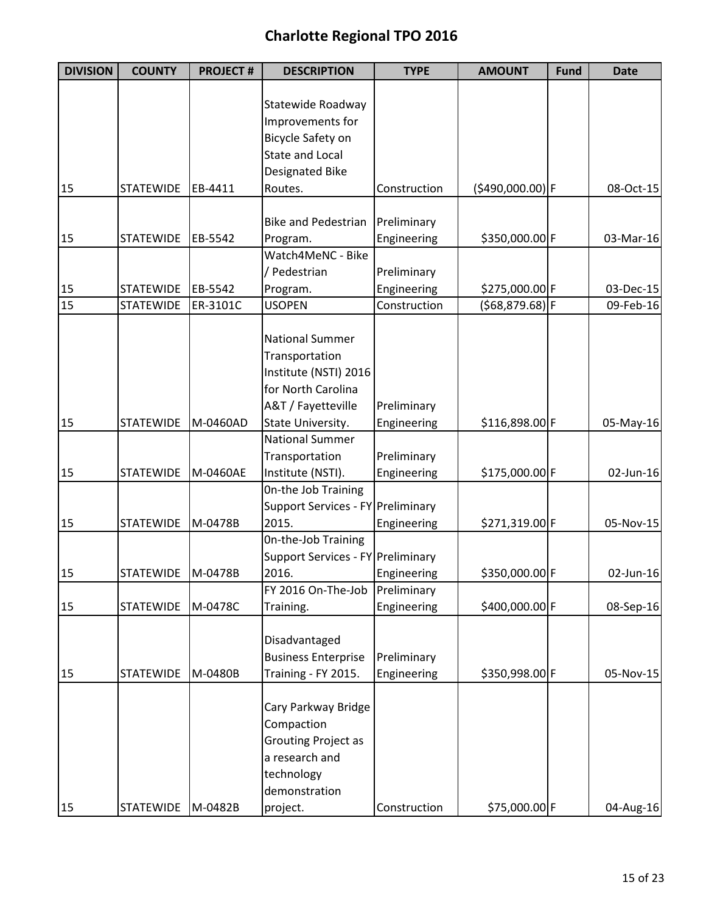| <b>DIVISION</b> | <b>COUNTY</b>       | <b>PROJECT#</b> | <b>DESCRIPTION</b>                | <b>TYPE</b>  | <b>AMOUNT</b>     | <b>Fund</b> | <b>Date</b> |
|-----------------|---------------------|-----------------|-----------------------------------|--------------|-------------------|-------------|-------------|
|                 |                     |                 |                                   |              |                   |             |             |
|                 |                     |                 | Statewide Roadway                 |              |                   |             |             |
|                 |                     |                 | Improvements for                  |              |                   |             |             |
|                 |                     |                 | Bicycle Safety on                 |              |                   |             |             |
|                 |                     |                 | <b>State and Local</b>            |              |                   |             |             |
|                 |                     |                 | Designated Bike                   |              |                   |             |             |
| 15              | <b>STATEWIDE</b>    | EB-4411         | Routes.                           | Construction | (\$490,000.00) F  |             | 08-Oct-15   |
|                 |                     |                 | <b>Bike and Pedestrian</b>        | Preliminary  |                   |             |             |
| 15              | <b>STATEWIDE</b>    | EB-5542         | Program.                          | Engineering  | \$350,000.00 F    |             | 03-Mar-16   |
|                 |                     |                 | Watch4MeNC - Bike                 |              |                   |             |             |
|                 |                     |                 | / Pedestrian                      | Preliminary  |                   |             |             |
| 15              | <b>STATEWIDE</b>    | EB-5542         | Program.                          | Engineering  | \$275,000.00 F    |             | 03-Dec-15   |
| 15              | <b>STATEWIDE</b>    | ER-3101C        | <b>USOPEN</b>                     | Construction | $(568, 879.68)$ F |             | 09-Feb-16   |
|                 |                     |                 |                                   |              |                   |             |             |
|                 |                     |                 | <b>National Summer</b>            |              |                   |             |             |
|                 |                     |                 | Transportation                    |              |                   |             |             |
|                 |                     |                 | Institute (NSTI) 2016             |              |                   |             |             |
|                 |                     |                 | for North Carolina                |              |                   |             |             |
|                 |                     |                 | A&T / Fayetteville                | Preliminary  |                   |             |             |
| 15              | <b>STATEWIDE</b>    | M-0460AD        | State University.                 | Engineering  | \$116,898.00 F    |             | 05-May-16   |
|                 |                     |                 | <b>National Summer</b>            |              |                   |             |             |
|                 |                     |                 |                                   |              |                   |             |             |
|                 |                     |                 | Transportation                    | Preliminary  |                   |             |             |
| 15              | <b>STATEWIDE</b>    | M-0460AE        | Institute (NSTI).                 | Engineering  | \$175,000.00 F    |             | 02-Jun-16   |
|                 |                     |                 | On-the Job Training               |              |                   |             |             |
|                 |                     |                 | Support Services - FY Preliminary |              |                   |             |             |
| 15              | <b>STATEWIDE</b>    | M-0478B         | 2015.                             | Engineering  | \$271,319.00 F    |             | 05-Nov-15   |
|                 |                     |                 | On-the-Job Training               |              |                   |             |             |
|                 |                     |                 | Support Services - FY Preliminary |              |                   |             |             |
| 15              | STATEWIDE   M-0478B |                 | 2016.                             | Engineering  | \$350,000.00 F    |             | 02-Jun-16   |
|                 |                     |                 | FY 2016 On-The-Job                | Preliminary  |                   |             |             |
| 15              | <b>STATEWIDE</b>    | M-0478C         | Training.                         | Engineering  | \$400,000.00 F    |             | 08-Sep-16   |
|                 |                     |                 |                                   |              |                   |             |             |
|                 |                     |                 | Disadvantaged                     |              |                   |             |             |
|                 |                     |                 | <b>Business Enterprise</b>        | Preliminary  |                   |             |             |
| 15              | <b>STATEWIDE</b>    | M-0480B         | Training - FY 2015.               | Engineering  | \$350,998.00 F    |             | 05-Nov-15   |
|                 |                     |                 |                                   |              |                   |             |             |
|                 |                     |                 | Cary Parkway Bridge               |              |                   |             |             |
|                 |                     |                 | Compaction                        |              |                   |             |             |
|                 |                     |                 | <b>Grouting Project as</b>        |              |                   |             |             |
|                 |                     |                 | a research and                    |              |                   |             |             |
|                 |                     |                 | technology                        |              |                   |             |             |
|                 |                     |                 | demonstration                     |              |                   |             |             |
| 15              | STATEWIDE           | M-0482B         | project.                          | Construction | \$75,000.00 F     |             | 04-Aug-16   |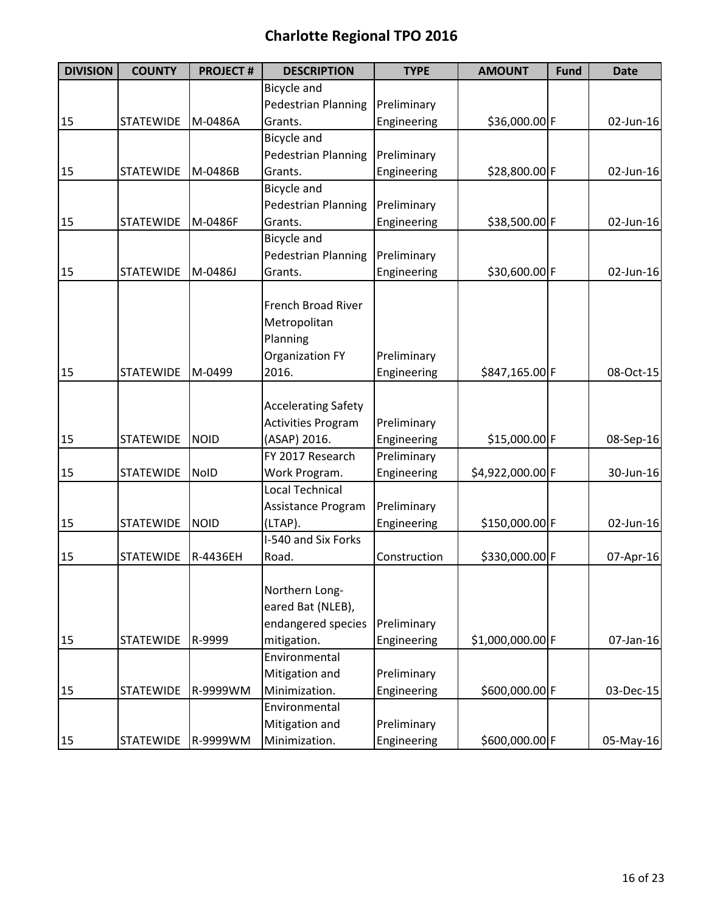| <b>DIVISION</b> | <b>COUNTY</b>      | <b>PROJECT#</b> | <b>DESCRIPTION</b>         | <b>TYPE</b>  | <b>AMOUNT</b>    | <b>Fund</b> | <b>Date</b> |
|-----------------|--------------------|-----------------|----------------------------|--------------|------------------|-------------|-------------|
|                 |                    |                 | Bicycle and                |              |                  |             |             |
|                 |                    |                 | <b>Pedestrian Planning</b> | Preliminary  |                  |             |             |
| 15              | <b>STATEWIDE</b>   | M-0486A         | Grants.                    | Engineering  | \$36,000.00 F    |             | 02-Jun-16   |
|                 |                    |                 | Bicycle and                |              |                  |             |             |
|                 |                    |                 | Pedestrian Planning        | Preliminary  |                  |             |             |
| 15              | <b>STATEWIDE</b>   | M-0486B         | Grants.                    | Engineering  | \$28,800.00 F    |             | 02-Jun-16   |
|                 |                    |                 | <b>Bicycle and</b>         |              |                  |             |             |
|                 |                    |                 | <b>Pedestrian Planning</b> | Preliminary  |                  |             |             |
| 15              | <b>STATEWIDE</b>   | M-0486F         | Grants.                    | Engineering  | \$38,500.00 F    |             | 02-Jun-16   |
|                 |                    |                 | Bicycle and                |              |                  |             |             |
|                 |                    |                 | Pedestrian Planning        | Preliminary  |                  |             |             |
| 15              | <b>STATEWIDE</b>   | M-0486J         | Grants.                    | Engineering  | \$30,600.00 F    |             | 02-Jun-16   |
|                 |                    |                 |                            |              |                  |             |             |
|                 |                    |                 | <b>French Broad River</b>  |              |                  |             |             |
|                 |                    |                 | Metropolitan               |              |                  |             |             |
|                 |                    |                 | Planning                   |              |                  |             |             |
|                 |                    |                 | <b>Organization FY</b>     | Preliminary  |                  |             |             |
| 15              | <b>STATEWIDE</b>   | M-0499          | 2016.                      | Engineering  | \$847,165.00 F   |             | 08-Oct-15   |
|                 |                    |                 |                            |              |                  |             |             |
|                 |                    |                 | <b>Accelerating Safety</b> |              |                  |             |             |
|                 |                    |                 | <b>Activities Program</b>  | Preliminary  |                  |             |             |
| 15              | <b>STATEWIDE</b>   | <b>NOID</b>     | (ASAP) 2016.               | Engineering  | \$15,000.00 F    |             | 08-Sep-16   |
|                 |                    |                 | FY 2017 Research           | Preliminary  |                  |             |             |
| 15              | <b>STATEWIDE</b>   | <b>NoID</b>     | Work Program.              | Engineering  | \$4,922,000.00 F |             | 30-Jun-16   |
|                 |                    |                 | <b>Local Technical</b>     |              |                  |             |             |
|                 |                    |                 | Assistance Program         | Preliminary  |                  |             |             |
| 15              | <b>STATEWIDE</b>   | <b>NOID</b>     | (LTAP).                    | Engineering  | \$150,000.00 F   |             | 02-Jun-16   |
|                 |                    |                 | I-540 and Six Forks        |              |                  |             |             |
| 15              | <b>STATEWIDE</b>   | R-4436EH        | Road.                      | Construction | \$330,000.00 F   |             | 07-Apr-16   |
|                 |                    |                 | Northern Long-             |              |                  |             |             |
|                 |                    |                 | eared Bat (NLEB),          |              |                  |             |             |
|                 |                    |                 | endangered species         | Preliminary  |                  |             |             |
| 15              | <b>STATEWIDE</b>   | R-9999          | mitigation.                | Engineering  | \$1,000,000.00 F |             | 07-Jan-16   |
|                 |                    |                 | Environmental              |              |                  |             |             |
|                 |                    |                 | Mitigation and             | Preliminary  |                  |             |             |
| 15              | <b>STATEWIDE</b>   | R-9999WM        | Minimization.              | Engineering  | \$600,000.00 F   |             | 03-Dec-15   |
|                 |                    |                 | Environmental              |              |                  |             |             |
|                 |                    |                 | Mitigation and             | Preliminary  |                  |             |             |
| 15              | STATEWIDE R-9999WM |                 | Minimization.              | Engineering  | \$600,000.00 F   |             | 05-May-16   |
|                 |                    |                 |                            |              |                  |             |             |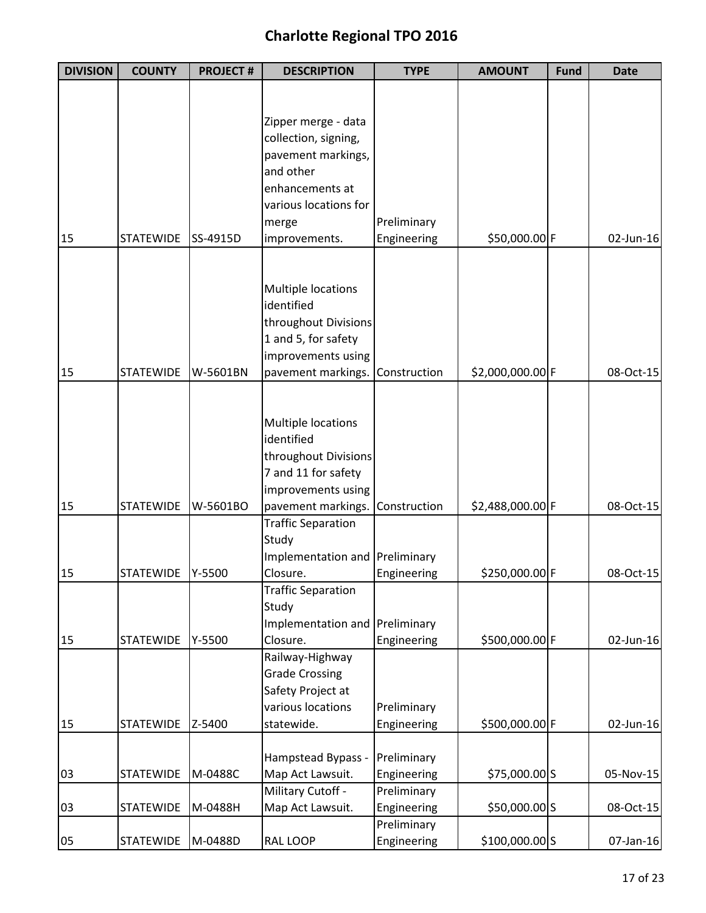| <b>DIVISION</b> | <b>COUNTY</b>    | <b>PROJECT#</b> | <b>DESCRIPTION</b>              | <b>TYPE</b> | <b>AMOUNT</b>    | <b>Fund</b> | <b>Date</b> |
|-----------------|------------------|-----------------|---------------------------------|-------------|------------------|-------------|-------------|
|                 |                  |                 |                                 |             |                  |             |             |
|                 |                  |                 |                                 |             |                  |             |             |
|                 |                  |                 | Zipper merge - data             |             |                  |             |             |
|                 |                  |                 | collection, signing,            |             |                  |             |             |
|                 |                  |                 | pavement markings,<br>and other |             |                  |             |             |
|                 |                  |                 | enhancements at                 |             |                  |             |             |
|                 |                  |                 | various locations for           |             |                  |             |             |
|                 |                  |                 | merge                           | Preliminary |                  |             |             |
| 15              | <b>STATEWIDE</b> | SS-4915D        | improvements.                   | Engineering | \$50,000.00 F    |             | 02-Jun-16   |
|                 |                  |                 |                                 |             |                  |             |             |
|                 |                  |                 |                                 |             |                  |             |             |
|                 |                  |                 | Multiple locations              |             |                  |             |             |
|                 |                  |                 | identified                      |             |                  |             |             |
|                 |                  |                 | throughout Divisions            |             |                  |             |             |
|                 |                  |                 | 1 and 5, for safety             |             |                  |             |             |
|                 |                  |                 | improvements using              |             |                  |             |             |
| 15              | <b>STATEWIDE</b> | W-5601BN        | pavement markings. Construction |             | \$2,000,000.00 F |             | 08-Oct-15   |
|                 |                  |                 |                                 |             |                  |             |             |
|                 |                  |                 | Multiple locations              |             |                  |             |             |
|                 |                  |                 | identified                      |             |                  |             |             |
|                 |                  |                 | throughout Divisions            |             |                  |             |             |
|                 |                  |                 | 7 and 11 for safety             |             |                  |             |             |
|                 |                  |                 | improvements using              |             |                  |             |             |
| 15              | <b>STATEWIDE</b> | W-5601BO        | pavement markings. Construction |             | \$2,488,000.00 F |             | 08-Oct-15   |
|                 |                  |                 | <b>Traffic Separation</b>       |             |                  |             |             |
|                 |                  |                 | Study                           |             |                  |             |             |
|                 |                  |                 | Implementation and Preliminary  |             |                  |             |             |
| 15              | STATEWIDE Y-5500 |                 | Closure.                        | Engineering | \$250,000.00 F   |             | 08-Oct-15   |
|                 |                  |                 | <b>Traffic Separation</b>       |             |                  |             |             |
|                 |                  |                 | Study                           |             |                  |             |             |
|                 |                  |                 | Implementation and Preliminary  |             |                  |             |             |
| 15              | <b>STATEWIDE</b> | Y-5500          | Closure.<br>Railway-Highway     | Engineering | \$500,000.00 F   |             | 02-Jun-16   |
|                 |                  |                 | <b>Grade Crossing</b>           |             |                  |             |             |
|                 |                  |                 | Safety Project at               |             |                  |             |             |
|                 |                  |                 | various locations               | Preliminary |                  |             |             |
| 15              | <b>STATEWIDE</b> | Z-5400          | statewide.                      | Engineering | \$500,000.00 F   |             | 02-Jun-16   |
|                 |                  |                 |                                 |             |                  |             |             |
|                 |                  |                 | Hampstead Bypass -              | Preliminary |                  |             |             |
| 03              | <b>STATEWIDE</b> | M-0488C         | Map Act Lawsuit.                | Engineering | \$75,000.00 S    |             | 05-Nov-15   |
|                 |                  |                 | Military Cutoff -               | Preliminary |                  |             |             |
| 03              | <b>STATEWIDE</b> | M-0488H         | Map Act Lawsuit.                | Engineering | \$50,000.00 S    |             | 08-Oct-15   |
|                 |                  |                 |                                 | Preliminary |                  |             |             |
| 05              | <b>STATEWIDE</b> | M-0488D         | RAL LOOP                        | Engineering | \$100,000.00 S   |             | 07-Jan-16   |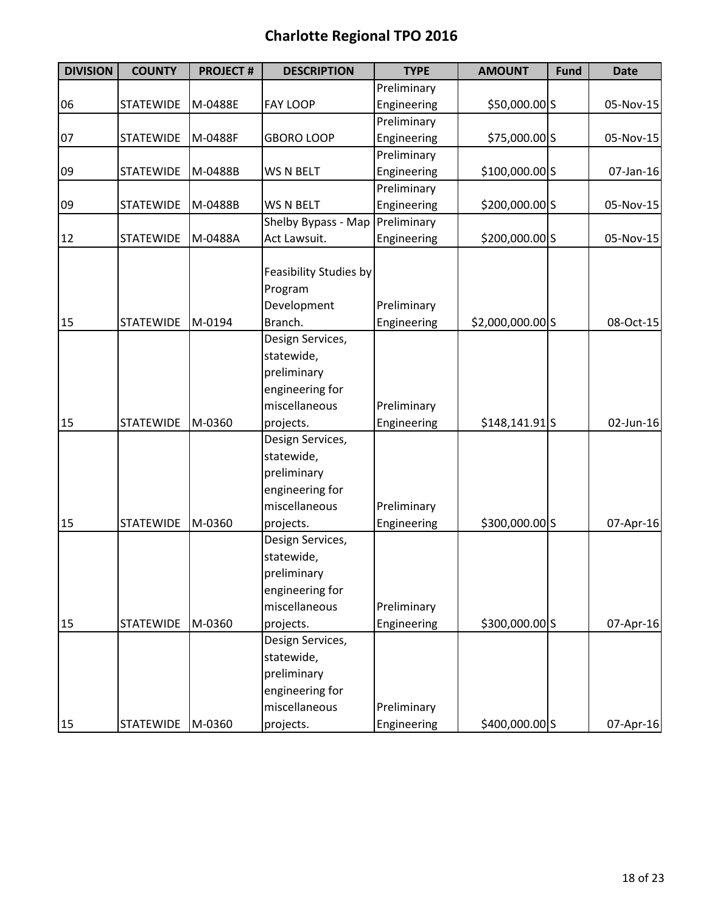| <b>DIVISION</b> | <b>COUNTY</b>      | <b>PROJECT#</b> | <b>DESCRIPTION</b>                                                                                                                              | <b>TYPE</b>                | <b>AMOUNT</b>    | <b>Fund</b> | <b>Date</b> |
|-----------------|--------------------|-----------------|-------------------------------------------------------------------------------------------------------------------------------------------------|----------------------------|------------------|-------------|-------------|
|                 |                    |                 |                                                                                                                                                 | Preliminary                |                  |             |             |
| 06              | <b>STATEWIDE</b>   | M-0488E         | <b>FAY LOOP</b>                                                                                                                                 | Engineering                | \$50,000.00 S    |             | 05-Nov-15   |
|                 |                    |                 |                                                                                                                                                 | Preliminary                |                  |             |             |
| 07              | <b>STATEWIDE</b>   | M-0488F         | <b>GBORO LOOP</b>                                                                                                                               | Engineering                | \$75,000.00 S    |             | 05-Nov-15   |
|                 |                    |                 |                                                                                                                                                 | Preliminary                |                  |             |             |
| 09              | <b>STATEWIDE</b>   | M-0488B         | WS N BELT                                                                                                                                       | Engineering                | \$100,000.00 S   |             | 07-Jan-16   |
|                 |                    |                 |                                                                                                                                                 | Preliminary                |                  |             |             |
| 09              | <b>STATEWIDE</b>   | M-0488B         | WS N BELT                                                                                                                                       | Engineering                | \$200,000.00 S   |             | 05-Nov-15   |
|                 |                    |                 | Shelby Bypass - Map                                                                                                                             | Preliminary                |                  |             |             |
| 12              | <b>STATEWIDE</b>   | M-0488A         | Act Lawsuit.                                                                                                                                    | Engineering                | \$200,000.00 S   |             | 05-Nov-15   |
|                 |                    |                 | Feasibility Studies by<br>Program<br>Development                                                                                                | Preliminary                |                  |             |             |
| 15              | <b>STATEWIDE</b>   | M-0194          | Branch.                                                                                                                                         | Engineering                | \$2,000,000.00 S |             | 08-Oct-15   |
| 15              | <b>STATEWIDE</b>   | M-0360          | Design Services,<br>statewide,<br>preliminary<br>engineering for<br>miscellaneous<br>projects.<br>Design Services,<br>statewide,<br>preliminary | Preliminary<br>Engineering | $$148,141.91$ S  |             | 02-Jun-16   |
|                 |                    |                 | engineering for                                                                                                                                 |                            |                  |             |             |
|                 |                    |                 | miscellaneous                                                                                                                                   | Preliminary                |                  |             |             |
| 15              | <b>STATEWIDE</b>   | M-0360          | projects.<br>Design Services,<br>statewide,<br>preliminary<br>engineering for<br>miscellaneous                                                  | Engineering<br>Preliminary | \$300,000.00 S   |             | 07-Apr-16   |
| 15              | <b>STATEWIDE</b>   | M-0360          | projects.                                                                                                                                       | Engineering                | \$300,000.00 S   |             | 07-Apr-16   |
| 15              | STATEWIDE   M-0360 |                 | Design Services,<br>statewide,<br>preliminary<br>engineering for<br>miscellaneous<br>projects.                                                  | Preliminary<br>Engineering | \$400,000.00 S   |             | 07-Apr-16   |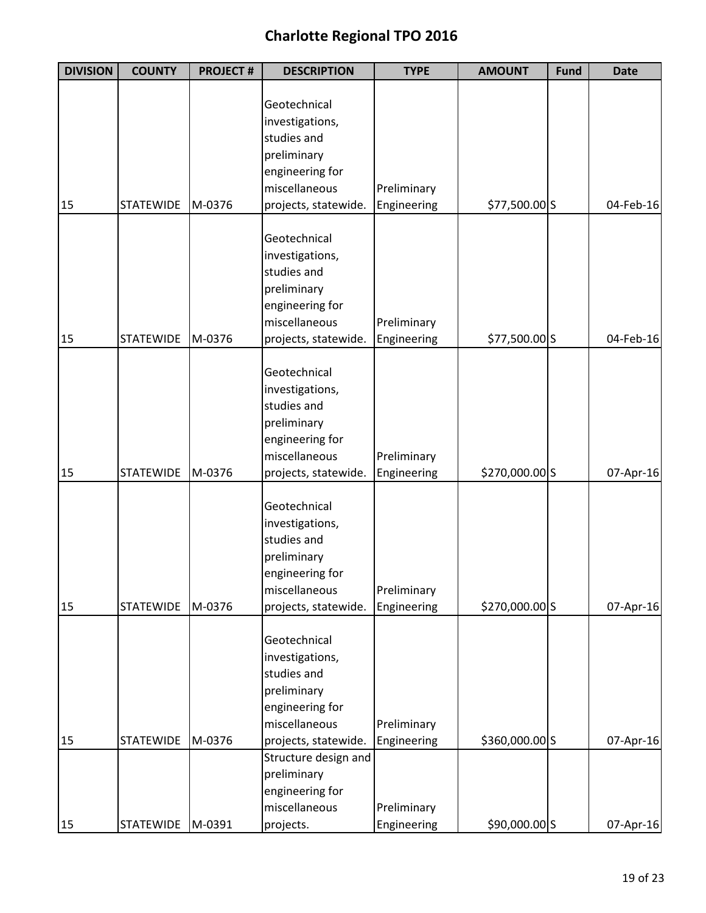| <b>DIVISION</b> | <b>COUNTY</b>    | <b>PROJECT#</b> | <b>DESCRIPTION</b>               | <b>TYPE</b> | <b>AMOUNT</b>  | <b>Fund</b> | <b>Date</b> |
|-----------------|------------------|-----------------|----------------------------------|-------------|----------------|-------------|-------------|
|                 |                  |                 |                                  |             |                |             |             |
|                 |                  |                 | Geotechnical                     |             |                |             |             |
|                 |                  |                 | investigations,                  |             |                |             |             |
|                 |                  |                 | studies and                      |             |                |             |             |
|                 |                  |                 | preliminary                      |             |                |             |             |
|                 |                  |                 | engineering for                  |             |                |             |             |
|                 |                  |                 | miscellaneous                    | Preliminary |                |             |             |
| 15              | <b>STATEWIDE</b> | M-0376          | projects, statewide.             | Engineering | \$77,500.00 S  |             | 04-Feb-16   |
|                 |                  |                 |                                  |             |                |             |             |
|                 |                  |                 | Geotechnical                     |             |                |             |             |
|                 |                  |                 | investigations,                  |             |                |             |             |
|                 |                  |                 | studies and                      |             |                |             |             |
|                 |                  |                 | preliminary                      |             |                |             |             |
|                 |                  |                 | engineering for<br>miscellaneous |             |                |             |             |
|                 | <b>STATEWIDE</b> |                 |                                  | Preliminary |                |             |             |
| 15              |                  | M-0376          | projects, statewide.             | Engineering | \$77,500.00 S  |             | 04-Feb-16   |
|                 |                  |                 | Geotechnical                     |             |                |             |             |
|                 |                  |                 | investigations,                  |             |                |             |             |
|                 |                  |                 | studies and                      |             |                |             |             |
|                 |                  |                 | preliminary                      |             |                |             |             |
|                 |                  |                 | engineering for                  |             |                |             |             |
|                 |                  |                 | miscellaneous                    | Preliminary |                |             |             |
| 15              | <b>STATEWIDE</b> | M-0376          | projects, statewide.             | Engineering | \$270,000.00 S |             | 07-Apr-16   |
|                 |                  |                 |                                  |             |                |             |             |
|                 |                  |                 | Geotechnical                     |             |                |             |             |
|                 |                  |                 | investigations,                  |             |                |             |             |
|                 |                  |                 | studies and                      |             |                |             |             |
|                 |                  |                 | preliminary                      |             |                |             |             |
|                 |                  |                 | engineering for                  |             |                |             |             |
|                 |                  |                 | miscellaneous                    | Preliminary |                |             |             |
| 15              | <b>STATEWIDE</b> | M-0376          | projects, statewide.             | Engineering | \$270,000.00 S |             | 07-Apr-16   |
|                 |                  |                 | Geotechnical                     |             |                |             |             |
|                 |                  |                 | investigations,                  |             |                |             |             |
|                 |                  |                 | studies and                      |             |                |             |             |
|                 |                  |                 | preliminary                      |             |                |             |             |
|                 |                  |                 | engineering for                  |             |                |             |             |
|                 |                  |                 | miscellaneous                    | Preliminary |                |             |             |
| 15              | <b>STATEWIDE</b> | M-0376          | projects, statewide.             | Engineering | \$360,000.00 S |             | 07-Apr-16   |
|                 |                  |                 | Structure design and             |             |                |             |             |
|                 |                  |                 | preliminary                      |             |                |             |             |
|                 |                  |                 | engineering for                  |             |                |             |             |
|                 |                  |                 | miscellaneous                    | Preliminary |                |             |             |
| 15              | STATEWIDE        | M-0391          | projects.                        | Engineering | \$90,000.00 S  |             | 07-Apr-16   |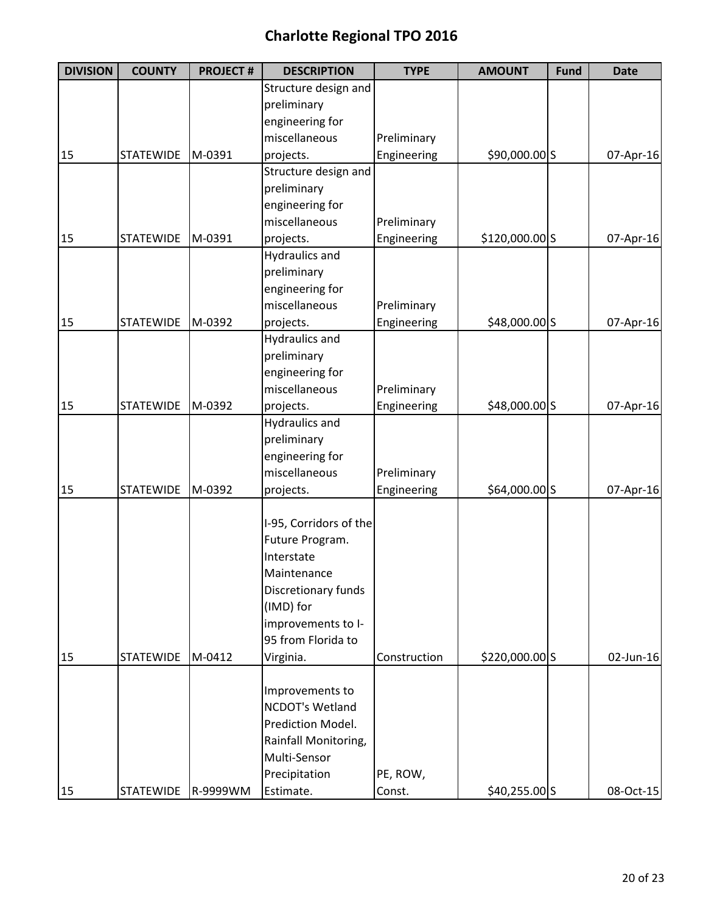| <b>DIVISION</b> | <b>COUNTY</b>    | <b>PROJECT#</b> | <b>DESCRIPTION</b>     | <b>TYPE</b>  | <b>AMOUNT</b>  | <b>Fund</b> | <b>Date</b> |
|-----------------|------------------|-----------------|------------------------|--------------|----------------|-------------|-------------|
|                 |                  |                 | Structure design and   |              |                |             |             |
|                 |                  |                 | preliminary            |              |                |             |             |
|                 |                  |                 | engineering for        |              |                |             |             |
|                 |                  |                 | miscellaneous          | Preliminary  |                |             |             |
| 15              | <b>STATEWIDE</b> | M-0391          | projects.              | Engineering  | \$90,000.00 S  |             | 07-Apr-16   |
|                 |                  |                 | Structure design and   |              |                |             |             |
|                 |                  |                 | preliminary            |              |                |             |             |
|                 |                  |                 | engineering for        |              |                |             |             |
|                 |                  |                 | miscellaneous          | Preliminary  |                |             |             |
| 15              | <b>STATEWIDE</b> | M-0391          | projects.              | Engineering  | \$120,000.00 S |             | 07-Apr-16   |
|                 |                  |                 | <b>Hydraulics and</b>  |              |                |             |             |
|                 |                  |                 | preliminary            |              |                |             |             |
|                 |                  |                 | engineering for        |              |                |             |             |
|                 |                  |                 | miscellaneous          | Preliminary  |                |             |             |
| 15              | <b>STATEWIDE</b> | M-0392          | projects.              | Engineering  | \$48,000.00 S  |             | 07-Apr-16   |
|                 |                  |                 | <b>Hydraulics and</b>  |              |                |             |             |
|                 |                  |                 | preliminary            |              |                |             |             |
|                 |                  |                 | engineering for        |              |                |             |             |
|                 |                  |                 | miscellaneous          | Preliminary  |                |             |             |
| 15              | <b>STATEWIDE</b> | M-0392          | projects.              | Engineering  | \$48,000.00 S  |             | 07-Apr-16   |
|                 |                  |                 | <b>Hydraulics and</b>  |              |                |             |             |
|                 |                  |                 | preliminary            |              |                |             |             |
|                 |                  |                 | engineering for        |              |                |             |             |
|                 |                  |                 | miscellaneous          | Preliminary  |                |             |             |
| 15              | <b>STATEWIDE</b> | M-0392          | projects.              | Engineering  | \$64,000.00 S  |             | 07-Apr-16   |
|                 |                  |                 |                        |              |                |             |             |
|                 |                  |                 | I-95, Corridors of the |              |                |             |             |
|                 |                  |                 | Future Program.        |              |                |             |             |
|                 |                  |                 | Interstate             |              |                |             |             |
|                 |                  |                 | Maintenance            |              |                |             |             |
|                 |                  |                 | Discretionary funds    |              |                |             |             |
|                 |                  |                 | (IMD) for              |              |                |             |             |
|                 |                  |                 | improvements to I-     |              |                |             |             |
|                 |                  |                 | 95 from Florida to     |              |                |             |             |
| 15              | <b>STATEWIDE</b> | M-0412          | Virginia.              | Construction | \$220,000.00 S |             | 02-Jun-16   |
|                 |                  |                 |                        |              |                |             |             |
|                 |                  |                 | Improvements to        |              |                |             |             |
|                 |                  |                 | NCDOT's Wetland        |              |                |             |             |
|                 |                  |                 | Prediction Model.      |              |                |             |             |
|                 |                  |                 | Rainfall Monitoring,   |              |                |             |             |
|                 |                  |                 | Multi-Sensor           |              |                |             |             |
|                 |                  |                 | Precipitation          | PE, ROW,     |                |             |             |
| 15              | <b>STATEWIDE</b> | R-9999WM        | Estimate.              | Const.       | $$40,255.00$ S |             | 08-Oct-15   |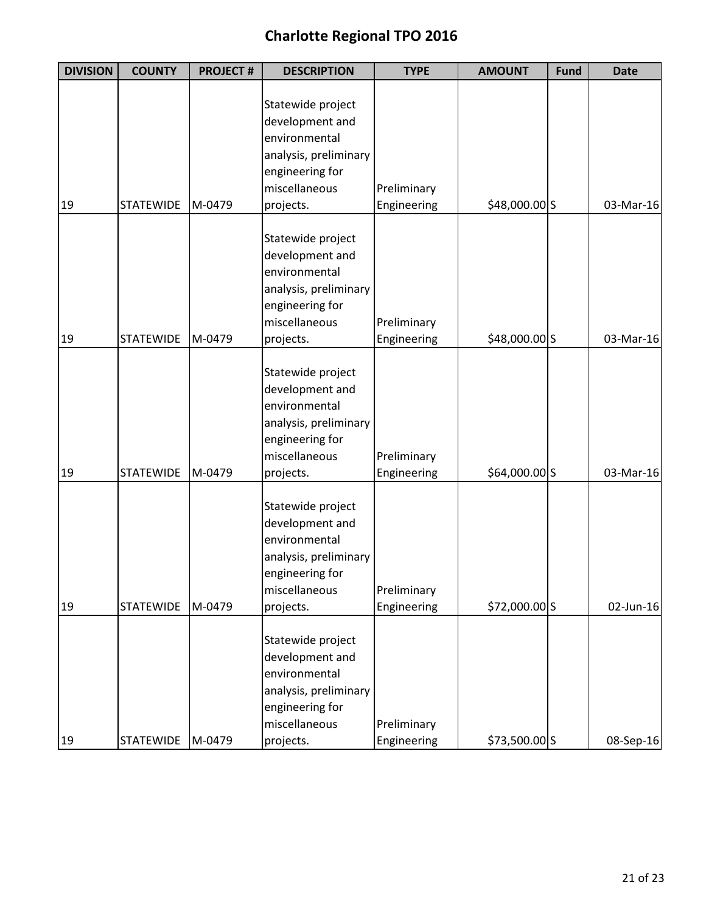| <b>DIVISION</b> | <b>COUNTY</b>    | <b>PROJECT#</b> | <b>DESCRIPTION</b>               | <b>TYPE</b> | <b>AMOUNT</b> | <b>Fund</b> | <b>Date</b> |
|-----------------|------------------|-----------------|----------------------------------|-------------|---------------|-------------|-------------|
|                 |                  |                 |                                  |             |               |             |             |
|                 |                  |                 | Statewide project                |             |               |             |             |
|                 |                  |                 | development and                  |             |               |             |             |
|                 |                  |                 | environmental                    |             |               |             |             |
|                 |                  |                 | analysis, preliminary            |             |               |             |             |
|                 |                  |                 | engineering for                  |             |               |             |             |
|                 |                  |                 | miscellaneous                    | Preliminary |               |             |             |
| 19              | <b>STATEWIDE</b> | M-0479          | projects.                        | Engineering | \$48,000.00 S |             | 03-Mar-16   |
|                 |                  |                 | Statewide project                |             |               |             |             |
|                 |                  |                 | development and                  |             |               |             |             |
|                 |                  |                 | environmental                    |             |               |             |             |
|                 |                  |                 |                                  |             |               |             |             |
|                 |                  |                 | analysis, preliminary            |             |               |             |             |
|                 |                  |                 | engineering for<br>miscellaneous |             |               |             |             |
|                 |                  |                 |                                  | Preliminary |               |             |             |
| 19              | <b>STATEWIDE</b> | M-0479          | projects.                        | Engineering | \$48,000.00 S |             | 03-Mar-16   |
|                 |                  |                 | Statewide project                |             |               |             |             |
|                 |                  |                 | development and                  |             |               |             |             |
|                 |                  |                 | environmental                    |             |               |             |             |
|                 |                  |                 | analysis, preliminary            |             |               |             |             |
|                 |                  |                 | engineering for                  |             |               |             |             |
|                 |                  |                 | miscellaneous                    | Preliminary |               |             |             |
| 19              | <b>STATEWIDE</b> | M-0479          | projects.                        | Engineering | \$64,000.00 S |             | 03-Mar-16   |
|                 |                  |                 |                                  |             |               |             |             |
|                 |                  |                 | Statewide project                |             |               |             |             |
|                 |                  |                 | development and                  |             |               |             |             |
|                 |                  |                 | environmental                    |             |               |             |             |
|                 |                  |                 | analysis, preliminary            |             |               |             |             |
|                 |                  |                 | engineering for                  |             |               |             |             |
|                 |                  |                 | miscellaneous                    | Preliminary |               |             |             |
| 19              | <b>STATEWIDE</b> | M-0479          | projects.                        | Engineering | \$72,000.00 S |             | 02-Jun-16   |
|                 |                  |                 |                                  |             |               |             |             |
|                 |                  |                 | Statewide project                |             |               |             |             |
|                 |                  |                 | development and                  |             |               |             |             |
|                 |                  |                 | environmental                    |             |               |             |             |
|                 |                  |                 | analysis, preliminary            |             |               |             |             |
|                 |                  |                 | engineering for                  |             |               |             |             |
|                 |                  |                 | miscellaneous                    | Preliminary |               |             |             |
| 19              | STATEWIDE        | M-0479          | projects.                        | Engineering | \$73,500.00 S |             | 08-Sep-16   |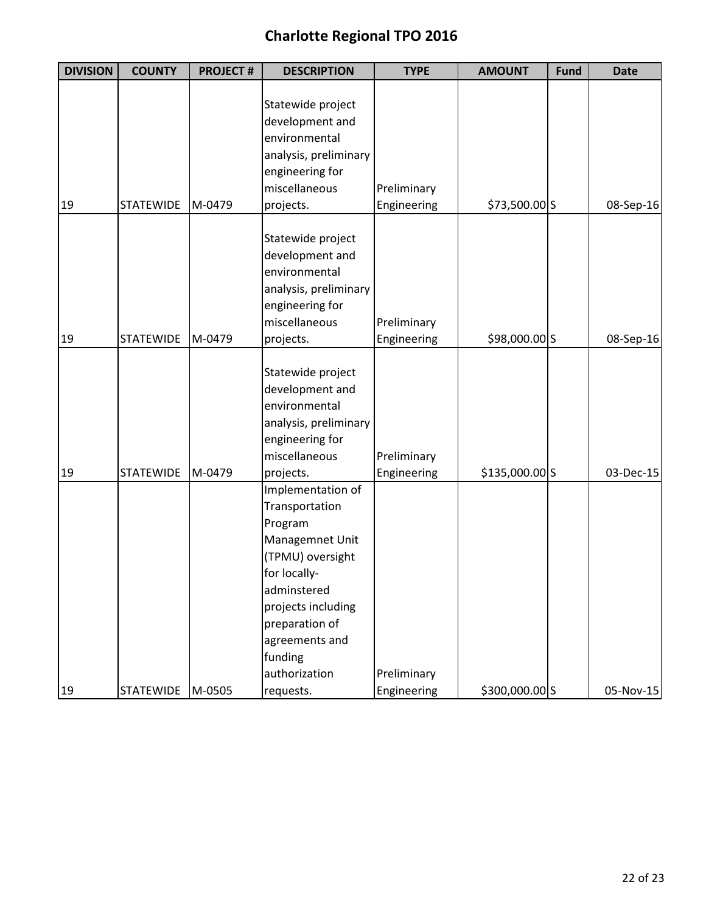| <b>DIVISION</b> | <b>COUNTY</b>    | <b>PROJECT#</b> | <b>DESCRIPTION</b>                       | <b>TYPE</b>                | <b>AMOUNT</b>  | <b>Fund</b> | <b>Date</b> |
|-----------------|------------------|-----------------|------------------------------------------|----------------------------|----------------|-------------|-------------|
|                 |                  |                 |                                          |                            |                |             |             |
|                 |                  |                 | Statewide project                        |                            |                |             |             |
|                 |                  |                 | development and                          |                            |                |             |             |
|                 |                  |                 | environmental                            |                            |                |             |             |
|                 |                  |                 | analysis, preliminary                    |                            |                |             |             |
|                 |                  |                 | engineering for                          |                            |                |             |             |
|                 |                  |                 | miscellaneous                            | Preliminary                |                |             |             |
| 19              | <b>STATEWIDE</b> | M-0479          | projects.                                | Engineering                | \$73,500.00 S  |             | 08-Sep-16   |
|                 |                  |                 |                                          |                            |                |             |             |
|                 |                  |                 | Statewide project                        |                            |                |             |             |
|                 |                  |                 | development and                          |                            |                |             |             |
|                 |                  |                 | environmental                            |                            |                |             |             |
|                 |                  |                 | analysis, preliminary                    |                            |                |             |             |
|                 |                  |                 | engineering for                          |                            |                |             |             |
|                 |                  |                 | miscellaneous                            | Preliminary                |                |             |             |
| 19              | <b>STATEWIDE</b> | M-0479          | projects.                                | Engineering                | \$98,000.00 S  |             | 08-Sep-16   |
|                 |                  |                 | Statewide project                        |                            |                |             |             |
|                 |                  |                 | development and                          |                            |                |             |             |
|                 |                  |                 | environmental                            |                            |                |             |             |
|                 |                  |                 |                                          |                            |                |             |             |
|                 |                  |                 | analysis, preliminary<br>engineering for |                            |                |             |             |
|                 |                  |                 | miscellaneous                            |                            |                |             |             |
| 19              | <b>STATEWIDE</b> | M-0479          | projects.                                | Preliminary<br>Engineering | \$135,000.00 S |             | 03-Dec-15   |
|                 |                  |                 | Implementation of                        |                            |                |             |             |
|                 |                  |                 | Transportation                           |                            |                |             |             |
|                 |                  |                 | Program                                  |                            |                |             |             |
|                 |                  |                 | Managemnet Unit                          |                            |                |             |             |
|                 |                  |                 | (TPMU) oversight                         |                            |                |             |             |
|                 |                  |                 | for locally-                             |                            |                |             |             |
|                 |                  |                 | adminstered                              |                            |                |             |             |
|                 |                  |                 | projects including                       |                            |                |             |             |
|                 |                  |                 | preparation of                           |                            |                |             |             |
|                 |                  |                 | agreements and                           |                            |                |             |             |
|                 |                  |                 | funding                                  |                            |                |             |             |
|                 |                  |                 |                                          |                            |                |             |             |
|                 |                  |                 | authorization                            | Preliminary                |                |             |             |